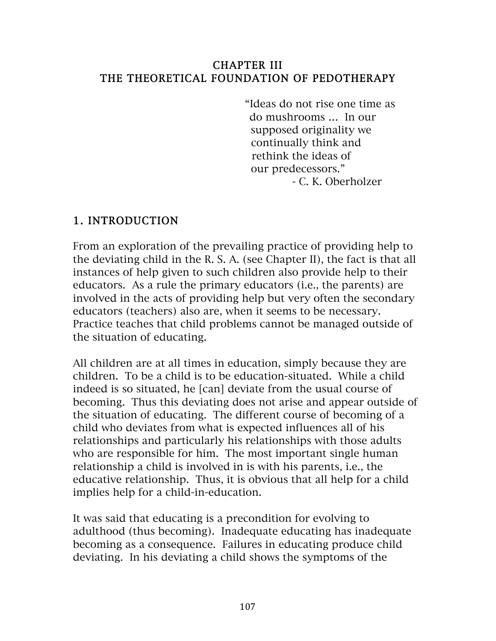#### CHAPTER III THE THEORETICAL FOUNDATION OF PEDOTHERAPY

 "Ideas do not rise one time as do mushrooms … In our supposed originality we continually think and rethink the ideas of our predecessors." - C. K. Oberholzer

#### 1. INTRODUCTION

From an exploration of the prevailing practice of providing help to the deviating child in the R. S. A. (see Chapter II), the fact is that all instances of help given to such children also provide help to their educators. As a rule the primary educators (i.e., the parents) are involved in the acts of providing help but very often the secondary educators (teachers) also are, when it seems to be necessary. Practice teaches that child problems cannot be managed outside of the situation of educating.

All children are at all times in education, simply because they are children. To be a child is to be education-situated. While a child indeed is so situated, he [can] deviate from the usual course of becoming. Thus this deviating does not arise and appear outside of the situation of educating. The different course of becoming of a child who deviates from what is expected influences all of his relationships and particularly his relationships with those adults who are responsible for him. The most important single human relationship a child is involved in is with his parents, i.e., the educative relationship. Thus, it is obvious that all help for a child implies help for a child-in-education.

It was said that educating is a precondition for evolving to adulthood (thus becoming). Inadequate educating has inadequate becoming as a consequence. Failures in educating produce child deviating. In his deviating a child shows the symptoms of the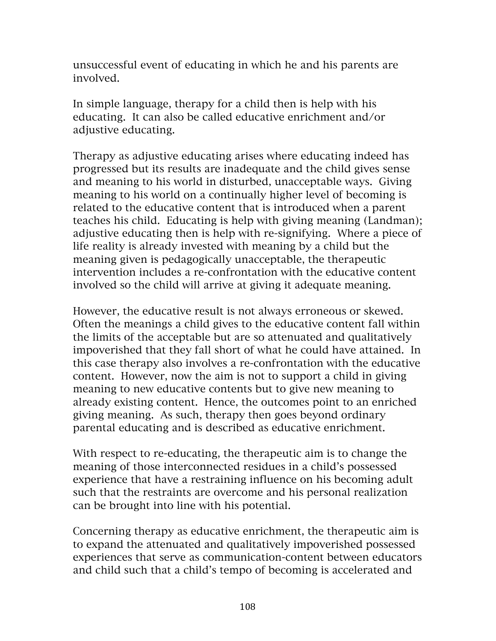unsuccessful event of educating in which he and his parents are involved.

In simple language, therapy for a child then is help with his educating. It can also be called educative enrichment and/or adjustive educating.

Therapy as adjustive educating arises where educating indeed has progressed but its results are inadequate and the child gives sense and meaning to his world in disturbed, unacceptable ways. Giving meaning to his world on a continually higher level of becoming is related to the educative content that is introduced when a parent teaches his child. Educating is help with giving meaning (Landman); adjustive educating then is help with re-signifying. Where a piece of life reality is already invested with meaning by a child but the meaning given is pedagogically unacceptable, the therapeutic intervention includes a re-confrontation with the educative content involved so the child will arrive at giving it adequate meaning.

However, the educative result is not always erroneous or skewed. Often the meanings a child gives to the educative content fall within the limits of the acceptable but are so attenuated and qualitatively impoverished that they fall short of what he could have attained. In this case therapy also involves a re-confrontation with the educative content. However, now the aim is not to support a child in giving meaning to new educative contents but to give new meaning to already existing content. Hence, the outcomes point to an enriched giving meaning. As such, therapy then goes beyond ordinary parental educating and is described as educative enrichment.

With respect to re-educating, the therapeutic aim is to change the meaning of those interconnected residues in a child's possessed experience that have a restraining influence on his becoming adult such that the restraints are overcome and his personal realization can be brought into line with his potential.

Concerning therapy as educative enrichment, the therapeutic aim is to expand the attenuated and qualitatively impoverished possessed experiences that serve as communication-content between educators and child such that a child's tempo of becoming is accelerated and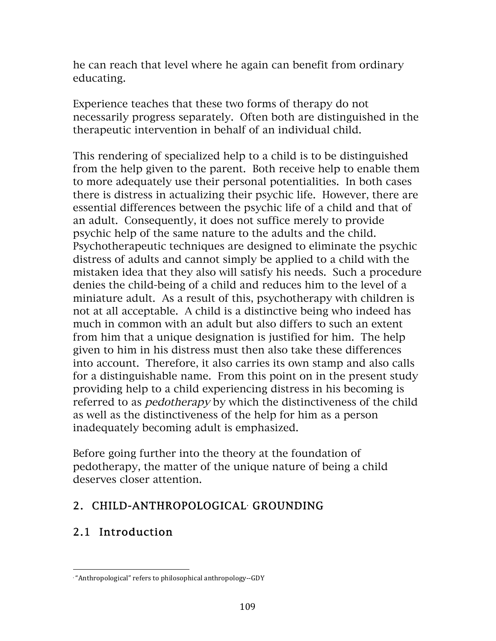he can reach that level where he again can benefit from ordinary educating.

Experience teaches that these two forms of therapy do not necessarily progress separately. Often both are distinguished in the therapeutic intervention in behalf of an individual child.

This rendering of specialized help to a child is to be distinguished from the help given to the parent. Both receive help to enable them to more adequately use their personal potentialities. In both cases there is distress in actualizing their psychic life. However, there are essential differences between the psychic life of a child and that of an adult. Consequently, it does not suffice merely to provide psychic help of the same nature to the adults and the child. Psychotherapeutic techniques are designed to eliminate the psychic distress of adults and cannot simply be applied to a child with the mistaken idea that they also will satisfy his needs. Such a procedure denies the child-being of a child and reduces him to the level of a miniature adult. As a result of this, psychotherapy with children is not at all acceptable. A child is a distinctive being who indeed has much in common with an adult but also differs to such an extent from him that a unique designation is justified for him. The help given to him in his distress must then also take these differences into account. Therefore, it also carries its own stamp and also calls for a distinguishable name. From this point on in the present study providing help to a child experiencing distress in his becoming is referred to as *pedotherapy* by which the distinctiveness of the child as well as the distinctiveness of the help for him as a person inadequately becoming adult is emphasized.

Before going further into the theory at the foundation of pedotherapy, the matter of the unique nature of being a child deserves closer attention.

## 2. CHILD-ANTHROPOLOGICAL• GROUNDING

# 2.1 Introduction

 • "Anthropological" refers to philosophical anthropology--GDY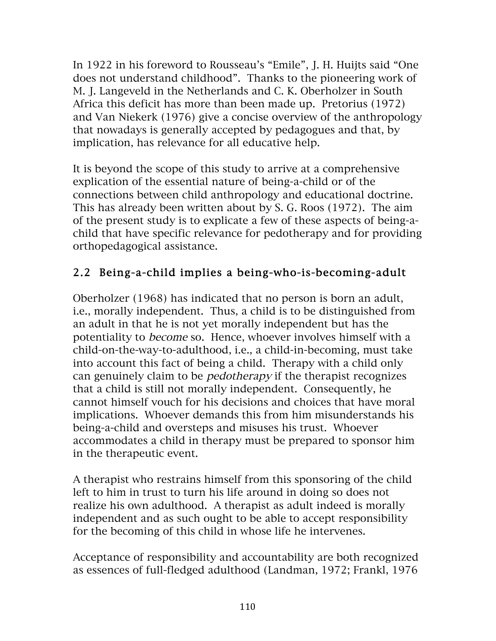In 1922 in his foreword to Rousseau's "Emile", J. H. Huijts said "One does not understand childhood". Thanks to the pioneering work of M. J. Langeveld in the Netherlands and C. K. Oberholzer in South Africa this deficit has more than been made up. Pretorius (1972) and Van Niekerk (1976) give a concise overview of the anthropology that nowadays is generally accepted by pedagogues and that, by implication, has relevance for all educative help.

It is beyond the scope of this study to arrive at a comprehensive explication of the essential nature of being-a-child or of the connections between child anthropology and educational doctrine. This has already been written about by S. G. Roos (1972). The aim of the present study is to explicate a few of these aspects of being-achild that have specific relevance for pedotherapy and for providing orthopedagogical assistance.

# 2.2 Being-a-child implies a being-who-is-becoming-adult

Oberholzer (1968) has indicated that no person is born an adult, i.e., morally independent. Thus, a child is to be distinguished from an adult in that he is not yet morally independent but has the potentiality to become so. Hence, whoever involves himself with a child-on-the-way-to-adulthood, i.e., a child-in-becoming, must take into account this fact of being a child. Therapy with a child only can genuinely claim to be pedotherapy if the therapist recognizes that a child is still not morally independent. Consequently, he cannot himself vouch for his decisions and choices that have moral implications. Whoever demands this from him misunderstands his being-a-child and oversteps and misuses his trust. Whoever accommodates a child in therapy must be prepared to sponsor him in the therapeutic event.

A therapist who restrains himself from this sponsoring of the child left to him in trust to turn his life around in doing so does not realize his own adulthood. A therapist as adult indeed is morally independent and as such ought to be able to accept responsibility for the becoming of this child in whose life he intervenes.

Acceptance of responsibility and accountability are both recognized as essences of full-fledged adulthood (Landman, 1972; Frankl, 1976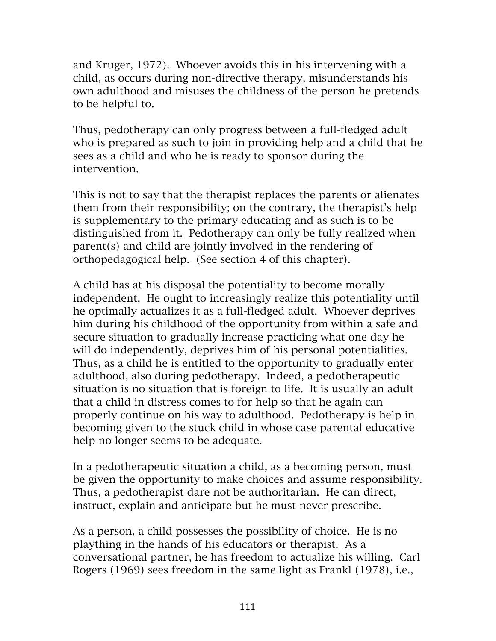and Kruger, 1972). Whoever avoids this in his intervening with a child, as occurs during non-directive therapy, misunderstands his own adulthood and misuses the childness of the person he pretends to be helpful to.

Thus, pedotherapy can only progress between a full-fledged adult who is prepared as such to join in providing help and a child that he sees as a child and who he is ready to sponsor during the intervention.

This is not to say that the therapist replaces the parents or alienates them from their responsibility; on the contrary, the therapist's help is supplementary to the primary educating and as such is to be distinguished from it. Pedotherapy can only be fully realized when parent(s) and child are jointly involved in the rendering of orthopedagogical help. (See section 4 of this chapter).

A child has at his disposal the potentiality to become morally independent. He ought to increasingly realize this potentiality until he optimally actualizes it as a full-fledged adult. Whoever deprives him during his childhood of the opportunity from within a safe and secure situation to gradually increase practicing what one day he will do independently, deprives him of his personal potentialities. Thus, as a child he is entitled to the opportunity to gradually enter adulthood, also during pedotherapy. Indeed, a pedotherapeutic situation is no situation that is foreign to life. It is usually an adult that a child in distress comes to for help so that he again can properly continue on his way to adulthood. Pedotherapy is help in becoming given to the stuck child in whose case parental educative help no longer seems to be adequate.

In a pedotherapeutic situation a child, as a becoming person, must be given the opportunity to make choices and assume responsibility. Thus, a pedotherapist dare not be authoritarian. He can direct, instruct, explain and anticipate but he must never prescribe.

As a person, a child possesses the possibility of choice. He is no plaything in the hands of his educators or therapist. As a conversational partner, he has freedom to actualize his willing. Carl Rogers (1969) sees freedom in the same light as Frankl (1978), i.e.,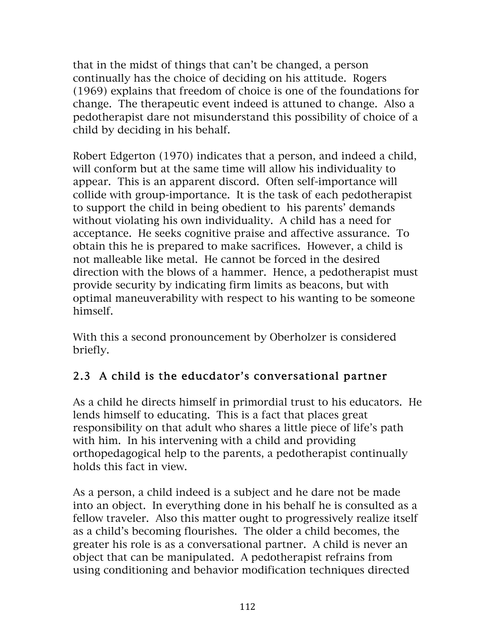that in the midst of things that can't be changed, a person continually has the choice of deciding on his attitude. Rogers (1969) explains that freedom of choice is one of the foundations for change. The therapeutic event indeed is attuned to change. Also a pedotherapist dare not misunderstand this possibility of choice of a child by deciding in his behalf.

Robert Edgerton (1970) indicates that a person, and indeed a child, will conform but at the same time will allow his individuality to appear. This is an apparent discord. Often self-importance will collide with group-importance. It is the task of each pedotherapist to support the child in being obedient to his parents' demands without violating his own individuality. A child has a need for acceptance. He seeks cognitive praise and affective assurance. To obtain this he is prepared to make sacrifices. However, a child is not malleable like metal. He cannot be forced in the desired direction with the blows of a hammer. Hence, a pedotherapist must provide security by indicating firm limits as beacons, but with optimal maneuverability with respect to his wanting to be someone himself.

With this a second pronouncement by Oberholzer is considered briefly.

## 2.3 A child is the educdator's conversational partner

As a child he directs himself in primordial trust to his educators. He lends himself to educating. This is a fact that places great responsibility on that adult who shares a little piece of life's path with him. In his intervening with a child and providing orthopedagogical help to the parents, a pedotherapist continually holds this fact in view.

As a person, a child indeed is a subject and he dare not be made into an object. In everything done in his behalf he is consulted as a fellow traveler. Also this matter ought to progressively realize itself as a child's becoming flourishes. The older a child becomes, the greater his role is as a conversational partner. A child is never an object that can be manipulated. A pedotherapist refrains from using conditioning and behavior modification techniques directed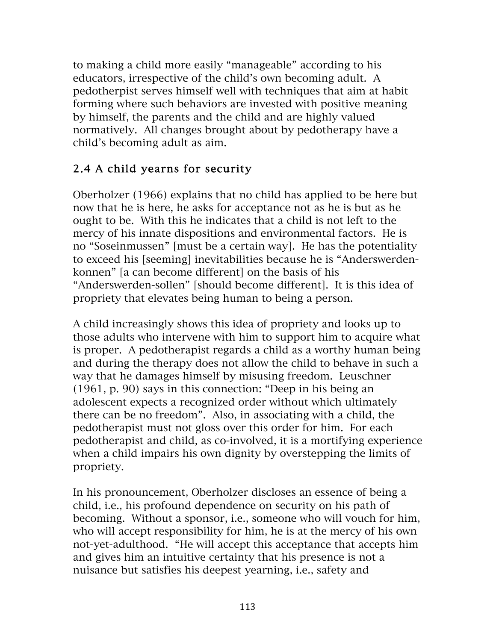to making a child more easily "manageable" according to his educators, irrespective of the child's own becoming adult. A pedotherpist serves himself well with techniques that aim at habit forming where such behaviors are invested with positive meaning by himself, the parents and the child and are highly valued normatively. All changes brought about by pedotherapy have a child's becoming adult as aim.

## 2.4 A child yearns for security

Oberholzer (1966) explains that no child has applied to be here but now that he is here, he asks for acceptance not as he is but as he ought to be. With this he indicates that a child is not left to the mercy of his innate dispositions and environmental factors. He is no "Soseinmussen" [must be a certain way]. He has the potentiality to exceed his [seeming] inevitabilities because he is "Anderswerdenkonnen" [a can become different] on the basis of his "Anderswerden-sollen" [should become different]. It is this idea of propriety that elevates being human to being a person.

A child increasingly shows this idea of propriety and looks up to those adults who intervene with him to support him to acquire what is proper. A pedotherapist regards a child as a worthy human being and during the therapy does not allow the child to behave in such a way that he damages himself by misusing freedom. Leuschner (1961, p. 90) says in this connection: "Deep in his being an adolescent expects a recognized order without which ultimately there can be no freedom". Also, in associating with a child, the pedotherapist must not gloss over this order for him. For each pedotherapist and child, as co-involved, it is a mortifying experience when a child impairs his own dignity by overstepping the limits of propriety.

In his pronouncement, Oberholzer discloses an essence of being a child, i.e., his profound dependence on security on his path of becoming. Without a sponsor, i.e., someone who will vouch for him, who will accept responsibility for him, he is at the mercy of his own not-yet-adulthood. "He will accept this acceptance that accepts him and gives him an intuitive certainty that his presence is not a nuisance but satisfies his deepest yearning, i.e., safety and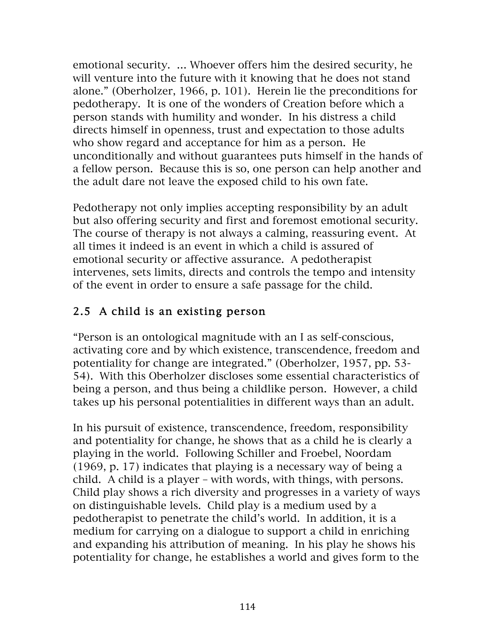emotional security. … Whoever offers him the desired security, he will venture into the future with it knowing that he does not stand alone." (Oberholzer, 1966, p. 101). Herein lie the preconditions for pedotherapy. It is one of the wonders of Creation before which a person stands with humility and wonder. In his distress a child directs himself in openness, trust and expectation to those adults who show regard and acceptance for him as a person. He unconditionally and without guarantees puts himself in the hands of a fellow person. Because this is so, one person can help another and the adult dare not leave the exposed child to his own fate.

Pedotherapy not only implies accepting responsibility by an adult but also offering security and first and foremost emotional security. The course of therapy is not always a calming, reassuring event. At all times it indeed is an event in which a child is assured of emotional security or affective assurance. A pedotherapist intervenes, sets limits, directs and controls the tempo and intensity of the event in order to ensure a safe passage for the child.

# 2.5 A child is an existing person

"Person is an ontological magnitude with an I as self-conscious, activating core and by which existence, transcendence, freedom and potentiality for change are integrated." (Oberholzer, 1957, pp. 53- 54). With this Oberholzer discloses some essential characteristics of being a person, and thus being a childlike person. However, a child takes up his personal potentialities in different ways than an adult.

In his pursuit of existence, transcendence, freedom, responsibility and potentiality for change, he shows that as a child he is clearly a playing in the world. Following Schiller and Froebel, Noordam (1969, p. 17) indicates that playing is a necessary way of being a child. A child is a player – with words, with things, with persons. Child play shows a rich diversity and progresses in a variety of ways on distinguishable levels. Child play is a medium used by a pedotherapist to penetrate the child's world. In addition, it is a medium for carrying on a dialogue to support a child in enriching and expanding his attribution of meaning. In his play he shows his potentiality for change, he establishes a world and gives form to the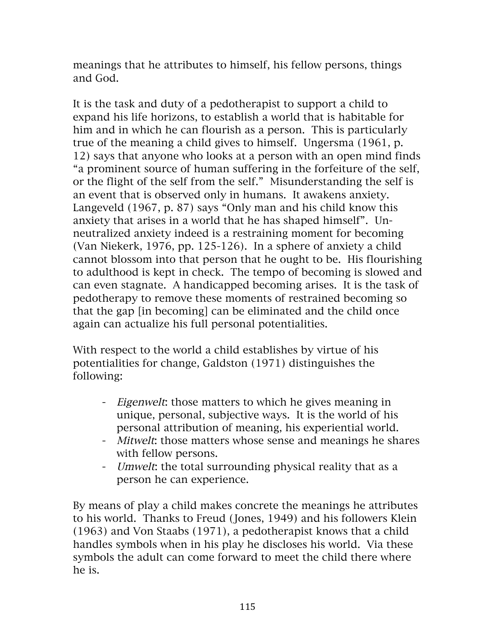meanings that he attributes to himself, his fellow persons, things and God.

It is the task and duty of a pedotherapist to support a child to expand his life horizons, to establish a world that is habitable for him and in which he can flourish as a person. This is particularly true of the meaning a child gives to himself. Ungersma (1961, p. 12) says that anyone who looks at a person with an open mind finds "a prominent source of human suffering in the forfeiture of the self, or the flight of the self from the self." Misunderstanding the self is an event that is observed only in humans. It awakens anxiety. Langeveld (1967, p. 87) says "Only man and his child know this anxiety that arises in a world that he has shaped himself". Unneutralized anxiety indeed is a restraining moment for becoming (Van Niekerk, 1976, pp. 125-126). In a sphere of anxiety a child cannot blossom into that person that he ought to be. His flourishing to adulthood is kept in check. The tempo of becoming is slowed and can even stagnate. A handicapped becoming arises. It is the task of pedotherapy to remove these moments of restrained becoming so that the gap [in becoming] can be eliminated and the child once again can actualize his full personal potentialities.

With respect to the world a child establishes by virtue of his potentialities for change, Galdston (1971) distinguishes the following:

- Eigenwelt: those matters to which he gives meaning in unique, personal, subjective ways. It is the world of his personal attribution of meaning, his experiential world.
- Mitwelt: those matters whose sense and meanings he shares with fellow persons.
- Umwelt: the total surrounding physical reality that as a person he can experience.

By means of play a child makes concrete the meanings he attributes to his world. Thanks to Freud (Jones, 1949) and his followers Klein (1963) and Von Staabs (1971), a pedotherapist knows that a child handles symbols when in his play he discloses his world. Via these symbols the adult can come forward to meet the child there where he is.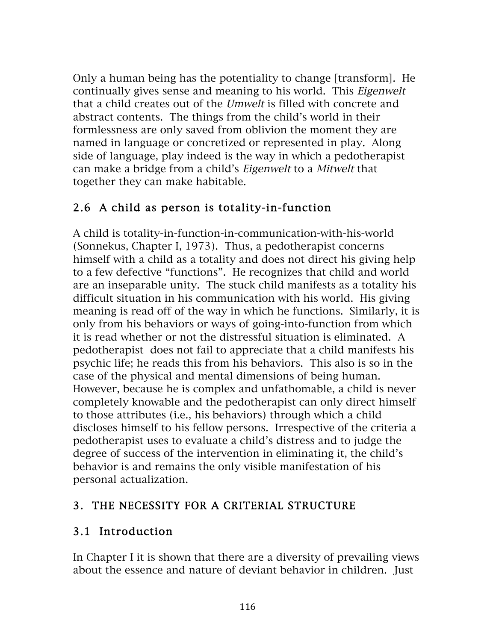Only a human being has the potentiality to change [transform]. He continually gives sense and meaning to his world. This Eigenwelt that a child creates out of the Umwelt is filled with concrete and abstract contents. The things from the child's world in their formlessness are only saved from oblivion the moment they are named in language or concretized or represented in play. Along side of language, play indeed is the way in which a pedotherapist can make a bridge from a child's Eigenwelt to a Mitwelt that together they can make habitable.

## 2.6 A child as person is totality-in-function

A child is totality-in-function-in-communication-with-his-world (Sonnekus, Chapter I, 1973). Thus, a pedotherapist concerns himself with a child as a totality and does not direct his giving help to a few defective "functions". He recognizes that child and world are an inseparable unity. The stuck child manifests as a totality his difficult situation in his communication with his world. His giving meaning is read off of the way in which he functions. Similarly, it is only from his behaviors or ways of going-into-function from which it is read whether or not the distressful situation is eliminated. A pedotherapist does not fail to appreciate that a child manifests his psychic life; he reads this from his behaviors. This also is so in the case of the physical and mental dimensions of being human. However, because he is complex and unfathomable, a child is never completely knowable and the pedotherapist can only direct himself to those attributes (i.e., his behaviors) through which a child discloses himself to his fellow persons. Irrespective of the criteria a pedotherapist uses to evaluate a child's distress and to judge the degree of success of the intervention in eliminating it, the child's behavior is and remains the only visible manifestation of his personal actualization.

### 3. THE NECESSITY FOR A CRITERIAL STRUCTURE

### 3.1 Introduction

In Chapter I it is shown that there are a diversity of prevailing views about the essence and nature of deviant behavior in children. Just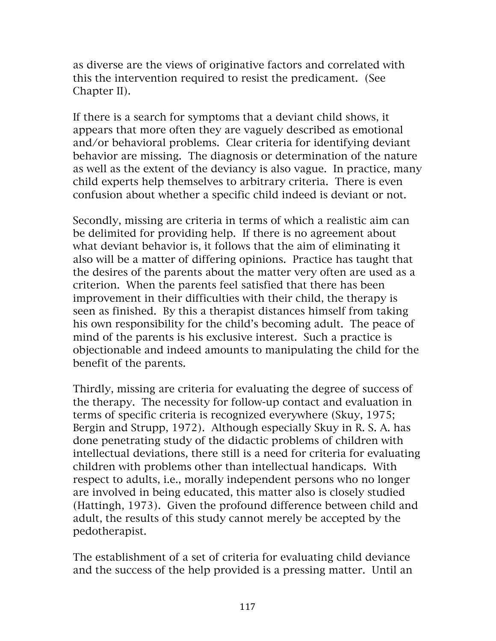as diverse are the views of originative factors and correlated with this the intervention required to resist the predicament. (See Chapter II).

If there is a search for symptoms that a deviant child shows, it appears that more often they are vaguely described as emotional and/or behavioral problems. Clear criteria for identifying deviant behavior are missing. The diagnosis or determination of the nature as well as the extent of the deviancy is also vague. In practice, many child experts help themselves to arbitrary criteria. There is even confusion about whether a specific child indeed is deviant or not.

Secondly, missing are criteria in terms of which a realistic aim can be delimited for providing help. If there is no agreement about what deviant behavior is, it follows that the aim of eliminating it also will be a matter of differing opinions. Practice has taught that the desires of the parents about the matter very often are used as a criterion. When the parents feel satisfied that there has been improvement in their difficulties with their child, the therapy is seen as finished. By this a therapist distances himself from taking his own responsibility for the child's becoming adult. The peace of mind of the parents is his exclusive interest. Such a practice is objectionable and indeed amounts to manipulating the child for the benefit of the parents.

Thirdly, missing are criteria for evaluating the degree of success of the therapy. The necessity for follow-up contact and evaluation in terms of specific criteria is recognized everywhere (Skuy, 1975; Bergin and Strupp, 1972). Although especially Skuy in R. S. A. has done penetrating study of the didactic problems of children with intellectual deviations, there still is a need for criteria for evaluating children with problems other than intellectual handicaps. With respect to adults, i.e., morally independent persons who no longer are involved in being educated, this matter also is closely studied (Hattingh, 1973). Given the profound difference between child and adult, the results of this study cannot merely be accepted by the pedotherapist.

The establishment of a set of criteria for evaluating child deviance and the success of the help provided is a pressing matter. Until an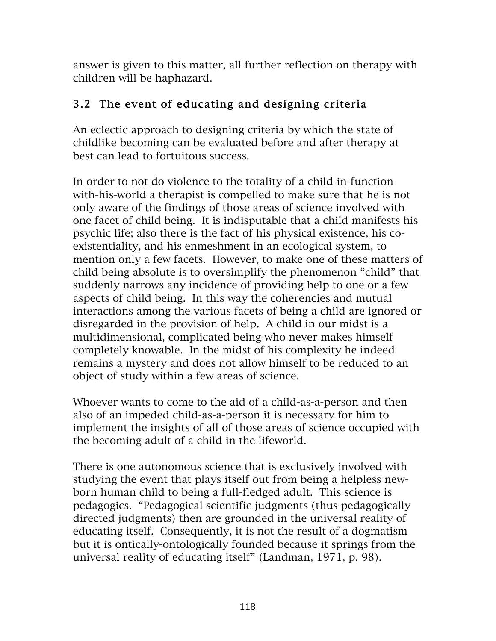answer is given to this matter, all further reflection on therapy with children will be haphazard.

## 3.2 The event of educating and designing criteria

An eclectic approach to designing criteria by which the state of childlike becoming can be evaluated before and after therapy at best can lead to fortuitous success.

In order to not do violence to the totality of a child-in-functionwith-his-world a therapist is compelled to make sure that he is not only aware of the findings of those areas of science involved with one facet of child being. It is indisputable that a child manifests his psychic life; also there is the fact of his physical existence, his coexistentiality, and his enmeshment in an ecological system, to mention only a few facets. However, to make one of these matters of child being absolute is to oversimplify the phenomenon "child" that suddenly narrows any incidence of providing help to one or a few aspects of child being. In this way the coherencies and mutual interactions among the various facets of being a child are ignored or disregarded in the provision of help. A child in our midst is a multidimensional, complicated being who never makes himself completely knowable. In the midst of his complexity he indeed remains a mystery and does not allow himself to be reduced to an object of study within a few areas of science.

Whoever wants to come to the aid of a child-as-a-person and then also of an impeded child-as-a-person it is necessary for him to implement the insights of all of those areas of science occupied with the becoming adult of a child in the lifeworld.

There is one autonomous science that is exclusively involved with studying the event that plays itself out from being a helpless newborn human child to being a full-fledged adult. This science is pedagogics. "Pedagogical scientific judgments (thus pedagogically directed judgments) then are grounded in the universal reality of educating itself. Consequently, it is not the result of a dogmatism but it is ontically-ontologically founded because it springs from the universal reality of educating itself" (Landman, 1971, p. 98).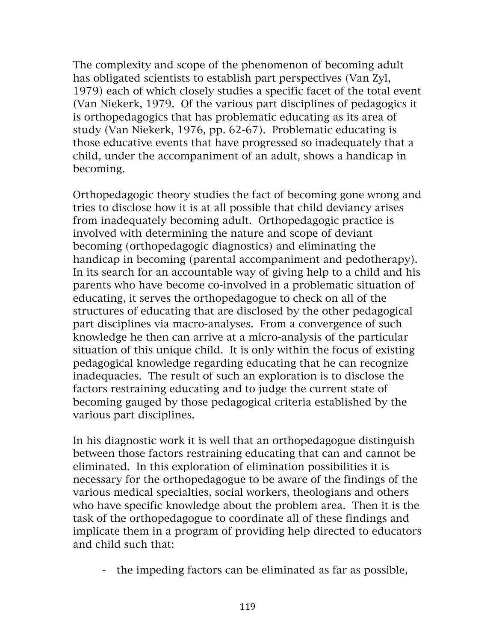The complexity and scope of the phenomenon of becoming adult has obligated scientists to establish part perspectives (Van Zyl, 1979) each of which closely studies a specific facet of the total event (Van Niekerk, 1979. Of the various part disciplines of pedagogics it is orthopedagogics that has problematic educating as its area of study (Van Niekerk, 1976, pp. 62-67). Problematic educating is those educative events that have progressed so inadequately that a child, under the accompaniment of an adult, shows a handicap in becoming.

Orthopedagogic theory studies the fact of becoming gone wrong and tries to disclose how it is at all possible that child deviancy arises from inadequately becoming adult. Orthopedagogic practice is involved with determining the nature and scope of deviant becoming (orthopedagogic diagnostics) and eliminating the handicap in becoming (parental accompaniment and pedotherapy). In its search for an accountable way of giving help to a child and his parents who have become co-involved in a problematic situation of educating, it serves the orthopedagogue to check on all of the structures of educating that are disclosed by the other pedagogical part disciplines via macro-analyses. From a convergence of such knowledge he then can arrive at a micro-analysis of the particular situation of this unique child. It is only within the focus of existing pedagogical knowledge regarding educating that he can recognize inadequacies. The result of such an exploration is to disclose the factors restraining educating and to judge the current state of becoming gauged by those pedagogical criteria established by the various part disciplines.

In his diagnostic work it is well that an orthopedagogue distinguish between those factors restraining educating that can and cannot be eliminated. In this exploration of elimination possibilities it is necessary for the orthopedagogue to be aware of the findings of the various medical specialties, social workers, theologians and others who have specific knowledge about the problem area. Then it is the task of the orthopedagogue to coordinate all of these findings and implicate them in a program of providing help directed to educators and child such that:

- the impeding factors can be eliminated as far as possible,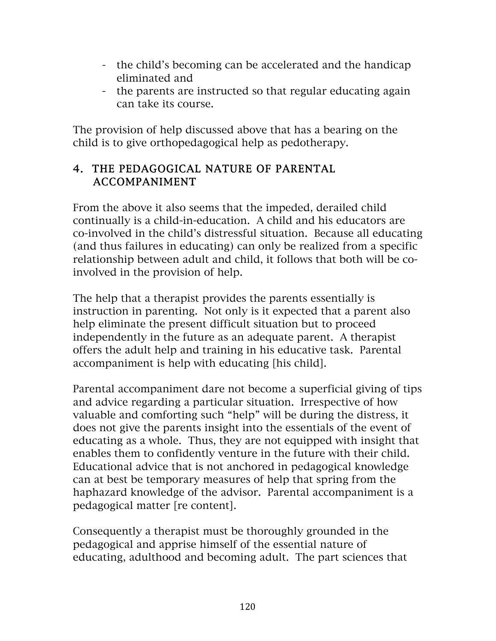- the child's becoming can be accelerated and the handicap eliminated and
- the parents are instructed so that regular educating again can take its course.

The provision of help discussed above that has a bearing on the child is to give orthopedagogical help as pedotherapy.

### 4. THE PEDAGOGICAL NATURE OF PARENTAL ACCOMPANIMENT

From the above it also seems that the impeded, derailed child continually is a child-in-education. A child and his educators are co-involved in the child's distressful situation. Because all educating (and thus failures in educating) can only be realized from a specific relationship between adult and child, it follows that both will be coinvolved in the provision of help.

The help that a therapist provides the parents essentially is instruction in parenting. Not only is it expected that a parent also help eliminate the present difficult situation but to proceed independently in the future as an adequate parent. A therapist offers the adult help and training in his educative task. Parental accompaniment is help with educating [his child].

Parental accompaniment dare not become a superficial giving of tips and advice regarding a particular situation. Irrespective of how valuable and comforting such "help" will be during the distress, it does not give the parents insight into the essentials of the event of educating as a whole. Thus, they are not equipped with insight that enables them to confidently venture in the future with their child. Educational advice that is not anchored in pedagogical knowledge can at best be temporary measures of help that spring from the haphazard knowledge of the advisor. Parental accompaniment is a pedagogical matter [re content].

Consequently a therapist must be thoroughly grounded in the pedagogical and apprise himself of the essential nature of educating, adulthood and becoming adult. The part sciences that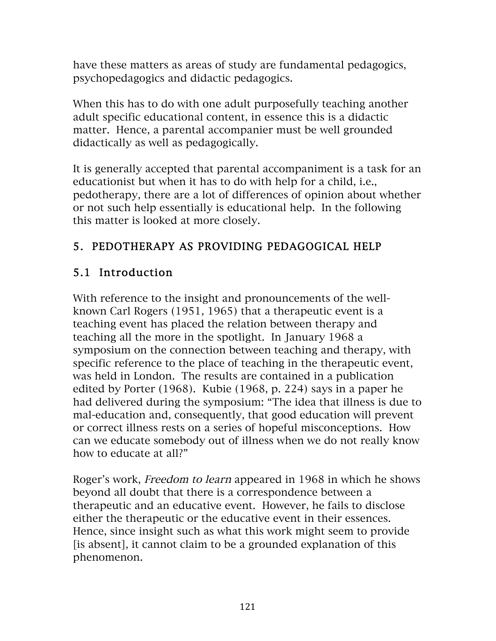have these matters as areas of study are fundamental pedagogics, psychopedagogics and didactic pedagogics.

When this has to do with one adult purposefully teaching another adult specific educational content, in essence this is a didactic matter. Hence, a parental accompanier must be well grounded didactically as well as pedagogically.

It is generally accepted that parental accompaniment is a task for an educationist but when it has to do with help for a child, i.e., pedotherapy, there are a lot of differences of opinion about whether or not such help essentially is educational help. In the following this matter is looked at more closely.

# 5. PEDOTHERAPY AS PROVIDING PEDAGOGICAL HELP

# 5.1 Introduction

With reference to the insight and pronouncements of the wellknown Carl Rogers (1951, 1965) that a therapeutic event is a teaching event has placed the relation between therapy and teaching all the more in the spotlight. In January 1968 a symposium on the connection between teaching and therapy, with specific reference to the place of teaching in the therapeutic event, was held in London. The results are contained in a publication edited by Porter (1968). Kubie (1968, p. 224) says in a paper he had delivered during the symposium: "The idea that illness is due to mal-education and, consequently, that good education will prevent or correct illness rests on a series of hopeful misconceptions. How can we educate somebody out of illness when we do not really know how to educate at all?"

Roger's work, Freedom to learn appeared in 1968 in which he shows beyond all doubt that there is a correspondence between a therapeutic and an educative event. However, he fails to disclose either the therapeutic or the educative event in their essences. Hence, since insight such as what this work might seem to provide [is absent], it cannot claim to be a grounded explanation of this phenomenon.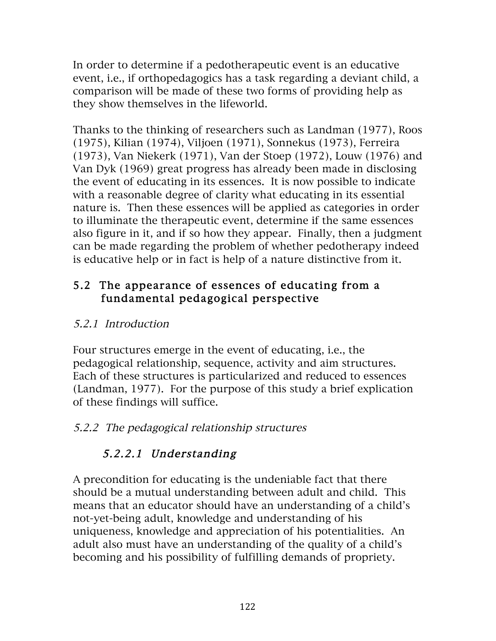In order to determine if a pedotherapeutic event is an educative event, i.e., if orthopedagogics has a task regarding a deviant child, a comparison will be made of these two forms of providing help as they show themselves in the lifeworld.

Thanks to the thinking of researchers such as Landman (1977), Roos (1975), Kilian (1974), Viljoen (1971), Sonnekus (1973), Ferreira (1973), Van Niekerk (1971), Van der Stoep (1972), Louw (1976) and Van Dyk (1969) great progress has already been made in disclosing the event of educating in its essences. It is now possible to indicate with a reasonable degree of clarity what educating in its essential nature is. Then these essences will be applied as categories in order to illuminate the therapeutic event, determine if the same essences also figure in it, and if so how they appear. Finally, then a judgment can be made regarding the problem of whether pedotherapy indeed is educative help or in fact is help of a nature distinctive from it.

### 5.2 The appearance of essences of educating from a fundamental pedagogical perspective

## 5.2.1 Introduction

Four structures emerge in the event of educating, i.e., the pedagogical relationship, sequence, activity and aim structures. Each of these structures is particularized and reduced to essences (Landman, 1977). For the purpose of this study a brief explication of these findings will suffice.

## 5.2.2 The pedagogical relationship structures

# 5.2.2.1 Understanding

A precondition for educating is the undeniable fact that there should be a mutual understanding between adult and child. This means that an educator should have an understanding of a child's not-yet-being adult, knowledge and understanding of his uniqueness, knowledge and appreciation of his potentialities. An adult also must have an understanding of the quality of a child's becoming and his possibility of fulfilling demands of propriety.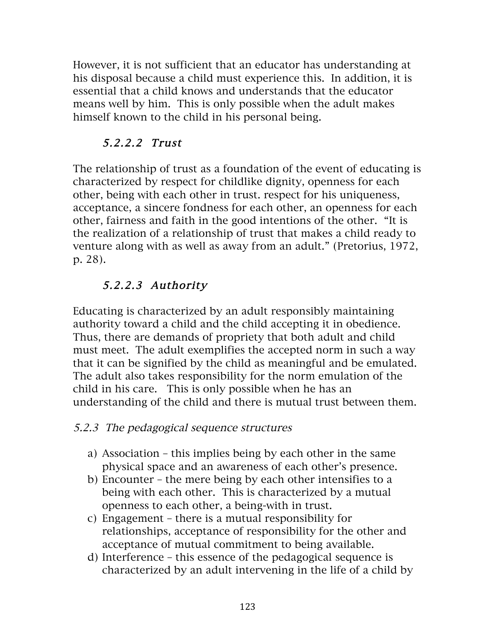However, it is not sufficient that an educator has understanding at his disposal because a child must experience this. In addition, it is essential that a child knows and understands that the educator means well by him. This is only possible when the adult makes himself known to the child in his personal being.

## 5.2.2.2 Trust

The relationship of trust as a foundation of the event of educating is characterized by respect for childlike dignity, openness for each other, being with each other in trust. respect for his uniqueness, acceptance, a sincere fondness for each other, an openness for each other, fairness and faith in the good intentions of the other. "It is the realization of a relationship of trust that makes a child ready to venture along with as well as away from an adult." (Pretorius, 1972, p. 28).

# 5.2.2.3 Authority

Educating is characterized by an adult responsibly maintaining authority toward a child and the child accepting it in obedience. Thus, there are demands of propriety that both adult and child must meet. The adult exemplifies the accepted norm in such a way that it can be signified by the child as meaningful and be emulated. The adult also takes responsibility for the norm emulation of the child in his care. This is only possible when he has an understanding of the child and there is mutual trust between them.

## 5.2.3 The pedagogical sequence structures

- a) Association this implies being by each other in the same physical space and an awareness of each other's presence.
- b) Encounter the mere being by each other intensifies to a being with each other. This is characterized by a mutual openness to each other, a being-with in trust.
- c) Engagement there is a mutual responsibility for relationships, acceptance of responsibility for the other and acceptance of mutual commitment to being available.
- d) Interference this essence of the pedagogical sequence is characterized by an adult intervening in the life of a child by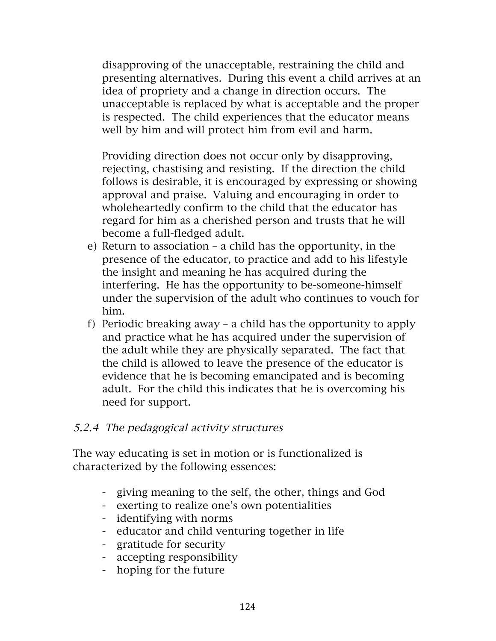disapproving of the unacceptable, restraining the child and presenting alternatives. During this event a child arrives at an idea of propriety and a change in direction occurs. The unacceptable is replaced by what is acceptable and the proper is respected. The child experiences that the educator means well by him and will protect him from evil and harm.

Providing direction does not occur only by disapproving, rejecting, chastising and resisting. If the direction the child follows is desirable, it is encouraged by expressing or showing approval and praise. Valuing and encouraging in order to wholeheartedly confirm to the child that the educator has regard for him as a cherished person and trusts that he will become a full-fledged adult.

- e) Return to association a child has the opportunity, in the presence of the educator, to practice and add to his lifestyle the insight and meaning he has acquired during the interfering. He has the opportunity to be-someone-himself under the supervision of the adult who continues to vouch for him.
- f) Periodic breaking away a child has the opportunity to apply and practice what he has acquired under the supervision of the adult while they are physically separated. The fact that the child is allowed to leave the presence of the educator is evidence that he is becoming emancipated and is becoming adult. For the child this indicates that he is overcoming his need for support.

#### 5.2.4 The pedagogical activity structures

The way educating is set in motion or is functionalized is characterized by the following essences:

- giving meaning to the self, the other, things and God
- exerting to realize one's own potentialities
- identifying with norms
- educator and child venturing together in life
- gratitude for security
- accepting responsibility
- hoping for the future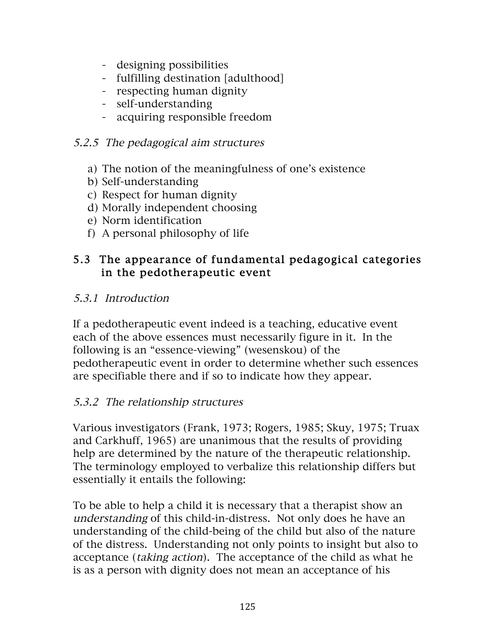- designing possibilities
- fulfilling destination [adulthood]
- respecting human dignity
- self-understanding
- acquiring responsible freedom

### 5.2.5 The pedagogical aim structures

- a) The notion of the meaningfulness of one's existence
- b) Self-understanding
- c) Respect for human dignity
- d) Morally independent choosing
- e) Norm identification
- f) A personal philosophy of life

### 5.3 The appearance of fundamental pedagogical categories in the pedotherapeutic event

### 5.3.1 Introduction

If a pedotherapeutic event indeed is a teaching, educative event each of the above essences must necessarily figure in it. In the following is an "essence-viewing" (wesenskou) of the pedotherapeutic event in order to determine whether such essences are specifiable there and if so to indicate how they appear.

## 5.3.2 The relationship structures

Various investigators (Frank, 1973; Rogers, 1985; Skuy, 1975; Truax and Carkhuff, 1965) are unanimous that the results of providing help are determined by the nature of the therapeutic relationship. The terminology employed to verbalize this relationship differs but essentially it entails the following:

To be able to help a child it is necessary that a therapist show an understanding of this child-in-distress. Not only does he have an understanding of the child-being of the child but also of the nature of the distress. Understanding not only points to insight but also to acceptance (taking action). The acceptance of the child as what he is as a person with dignity does not mean an acceptance of his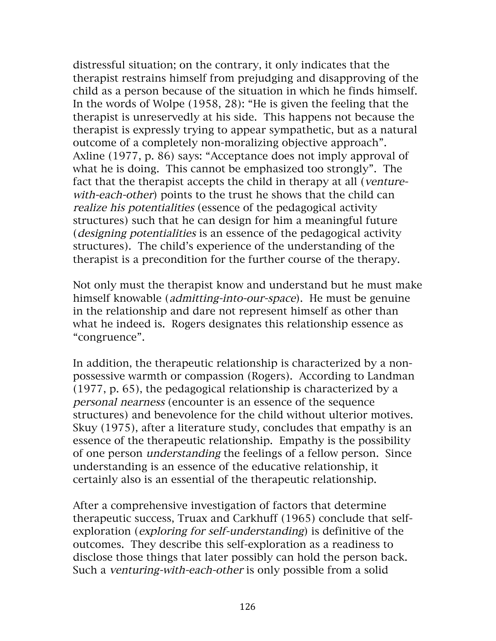distressful situation; on the contrary, it only indicates that the therapist restrains himself from prejudging and disapproving of the child as a person because of the situation in which he finds himself. In the words of Wolpe (1958, 28): "He is given the feeling that the therapist is unreservedly at his side. This happens not because the therapist is expressly trying to appear sympathetic, but as a natural outcome of a completely non-moralizing objective approach". Axline (1977, p. 86) says: "Acceptance does not imply approval of what he is doing. This cannot be emphasized too strongly". The fact that the therapist accepts the child in therapy at all (venturewith-each-other) points to the trust he shows that the child can realize his potentialities (essence of the pedagogical activity structures) such that he can design for him a meaningful future (designing potentialities is an essence of the pedagogical activity structures). The child's experience of the understanding of the therapist is a precondition for the further course of the therapy.

Not only must the therapist know and understand but he must make himself knowable *(admitting-into-our-space)*. He must be genuine in the relationship and dare not represent himself as other than what he indeed is. Rogers designates this relationship essence as "congruence".

In addition, the therapeutic relationship is characterized by a nonpossessive warmth or compassion (Rogers). According to Landman (1977, p. 65), the pedagogical relationship is characterized by a personal nearness (encounter is an essence of the sequence structures) and benevolence for the child without ulterior motives. Skuy (1975), after a literature study, concludes that empathy is an essence of the therapeutic relationship. Empathy is the possibility of one person understanding the feelings of a fellow person. Since understanding is an essence of the educative relationship, it certainly also is an essential of the therapeutic relationship.

After a comprehensive investigation of factors that determine therapeutic success, Truax and Carkhuff (1965) conclude that selfexploration (exploring for self-understanding) is definitive of the outcomes. They describe this self-exploration as a readiness to disclose those things that later possibly can hold the person back. Such a venturing-with-each-other is only possible from a solid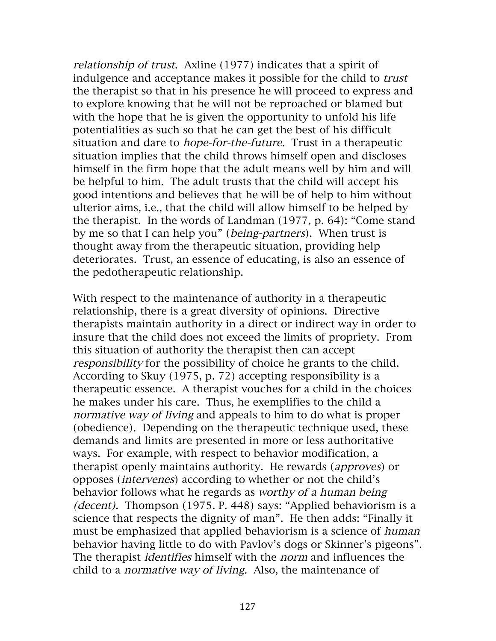relationship of trust. Axline (1977) indicates that a spirit of indulgence and acceptance makes it possible for the child to trust the therapist so that in his presence he will proceed to express and to explore knowing that he will not be reproached or blamed but with the hope that he is given the opportunity to unfold his life potentialities as such so that he can get the best of his difficult situation and dare to *hope-for-the-future*. Trust in a therapeutic situation implies that the child throws himself open and discloses himself in the firm hope that the adult means well by him and will be helpful to him. The adult trusts that the child will accept his good intentions and believes that he will be of help to him without ulterior aims, i.e., that the child will allow himself to be helped by the therapist. In the words of Landman (1977, p. 64): "Come stand by me so that I can help you" (being-partners). When trust is thought away from the therapeutic situation, providing help deteriorates. Trust, an essence of educating, is also an essence of the pedotherapeutic relationship.

With respect to the maintenance of authority in a therapeutic relationship, there is a great diversity of opinions. Directive therapists maintain authority in a direct or indirect way in order to insure that the child does not exceed the limits of propriety. From this situation of authority the therapist then can accept responsibility for the possibility of choice he grants to the child. According to Skuy (1975, p. 72) accepting responsibility is a therapeutic essence. A therapist vouches for a child in the choices he makes under his care. Thus, he exemplifies to the child a normative way of living and appeals to him to do what is proper (obedience). Depending on the therapeutic technique used, these demands and limits are presented in more or less authoritative ways. For example, with respect to behavior modification, a therapist openly maintains authority. He rewards (approves) or opposes (intervenes) according to whether or not the child's behavior follows what he regards as worthy of a human being (decent). Thompson (1975. P. 448) says: "Applied behaviorism is a science that respects the dignity of man". He then adds: "Finally it must be emphasized that applied behaviorism is a science of *human* behavior having little to do with Pavlov's dogs or Skinner's pigeons". The therapist identifies himself with the norm and influences the child to a normative way of living. Also, the maintenance of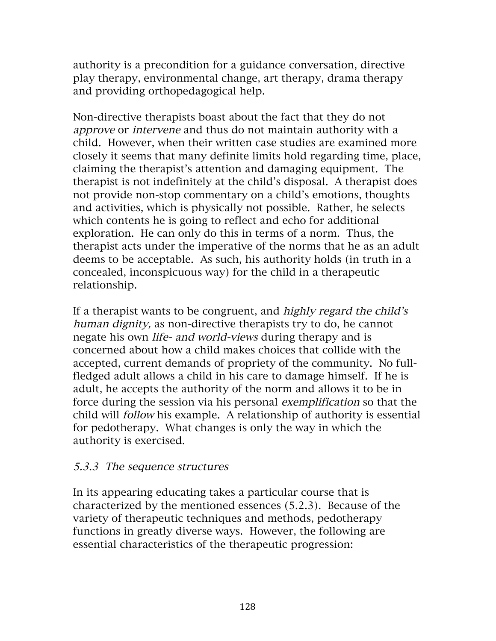authority is a precondition for a guidance conversation, directive play therapy, environmental change, art therapy, drama therapy and providing orthopedagogical help.

Non-directive therapists boast about the fact that they do not approve or intervene and thus do not maintain authority with a child. However, when their written case studies are examined more closely it seems that many definite limits hold regarding time, place, claiming the therapist's attention and damaging equipment. The therapist is not indefinitely at the child's disposal. A therapist does not provide non-stop commentary on a child's emotions, thoughts and activities, which is physically not possible. Rather, he selects which contents he is going to reflect and echo for additional exploration. He can only do this in terms of a norm. Thus, the therapist acts under the imperative of the norms that he as an adult deems to be acceptable. As such, his authority holds (in truth in a concealed, inconspicuous way) for the child in a therapeutic relationship.

If a therapist wants to be congruent, and highly regard the child's human dignity, as non-directive therapists try to do, he cannot negate his own life- and world-views during therapy and is concerned about how a child makes choices that collide with the accepted, current demands of propriety of the community. No fullfledged adult allows a child in his care to damage himself. If he is adult, he accepts the authority of the norm and allows it to be in force during the session via his personal exemplification so that the child will follow his example. A relationship of authority is essential for pedotherapy. What changes is only the way in which the authority is exercised.

#### 5.3.3 The sequence structures

In its appearing educating takes a particular course that is characterized by the mentioned essences (5.2.3). Because of the variety of therapeutic techniques and methods, pedotherapy functions in greatly diverse ways. However, the following are essential characteristics of the therapeutic progression: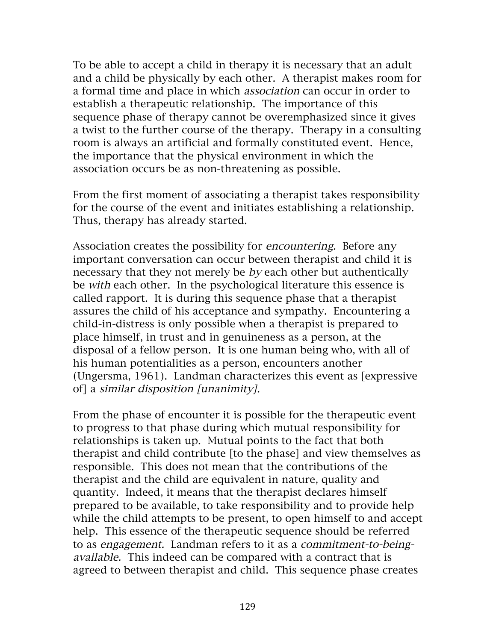To be able to accept a child in therapy it is necessary that an adult and a child be physically by each other. A therapist makes room for a formal time and place in which association can occur in order to establish a therapeutic relationship. The importance of this sequence phase of therapy cannot be overemphasized since it gives a twist to the further course of the therapy. Therapy in a consulting room is always an artificial and formally constituted event. Hence, the importance that the physical environment in which the association occurs be as non-threatening as possible.

From the first moment of associating a therapist takes responsibility for the course of the event and initiates establishing a relationship. Thus, therapy has already started.

Association creates the possibility for *encountering*. Before any important conversation can occur between therapist and child it is necessary that they not merely be *by* each other but authentically be with each other. In the psychological literature this essence is called rapport. It is during this sequence phase that a therapist assures the child of his acceptance and sympathy. Encountering a child-in-distress is only possible when a therapist is prepared to place himself, in trust and in genuineness as a person, at the disposal of a fellow person. It is one human being who, with all of his human potentialities as a person, encounters another (Ungersma, 1961). Landman characterizes this event as [expressive of] a similar disposition [unanimity].

From the phase of encounter it is possible for the therapeutic event to progress to that phase during which mutual responsibility for relationships is taken up. Mutual points to the fact that both therapist and child contribute [to the phase] and view themselves as responsible. This does not mean that the contributions of the therapist and the child are equivalent in nature, quality and quantity. Indeed, it means that the therapist declares himself prepared to be available, to take responsibility and to provide help while the child attempts to be present, to open himself to and accept help. This essence of the therapeutic sequence should be referred to as engagement. Landman refers to it as a commitment-to-beingavailable. This indeed can be compared with a contract that is agreed to between therapist and child. This sequence phase creates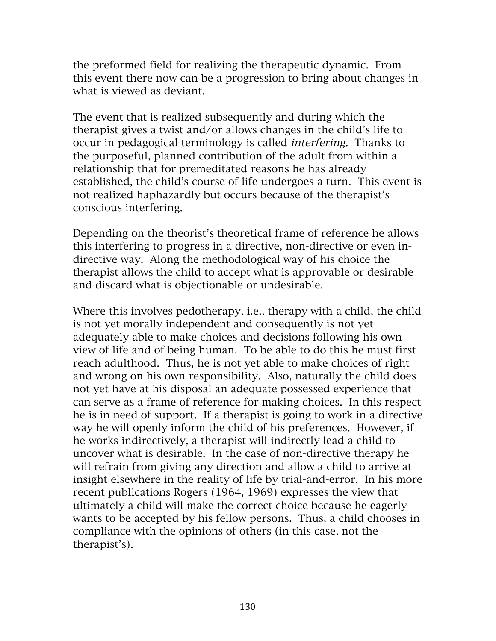the preformed field for realizing the therapeutic dynamic. From this event there now can be a progression to bring about changes in what is viewed as deviant.

The event that is realized subsequently and during which the therapist gives a twist and/or allows changes in the child's life to occur in pedagogical terminology is called interfering. Thanks to the purposeful, planned contribution of the adult from within a relationship that for premeditated reasons he has already established, the child's course of life undergoes a turn. This event is not realized haphazardly but occurs because of the therapist's conscious interfering.

Depending on the theorist's theoretical frame of reference he allows this interfering to progress in a directive, non-directive or even indirective way. Along the methodological way of his choice the therapist allows the child to accept what is approvable or desirable and discard what is objectionable or undesirable.

Where this involves pedotherapy, i.e., therapy with a child, the child is not yet morally independent and consequently is not yet adequately able to make choices and decisions following his own view of life and of being human. To be able to do this he must first reach adulthood. Thus, he is not yet able to make choices of right and wrong on his own responsibility. Also, naturally the child does not yet have at his disposal an adequate possessed experience that can serve as a frame of reference for making choices. In this respect he is in need of support. If a therapist is going to work in a directive way he will openly inform the child of his preferences. However, if he works indirectively, a therapist will indirectly lead a child to uncover what is desirable. In the case of non-directive therapy he will refrain from giving any direction and allow a child to arrive at insight elsewhere in the reality of life by trial-and-error. In his more recent publications Rogers (1964, 1969) expresses the view that ultimately a child will make the correct choice because he eagerly wants to be accepted by his fellow persons. Thus, a child chooses in compliance with the opinions of others (in this case, not the therapist's).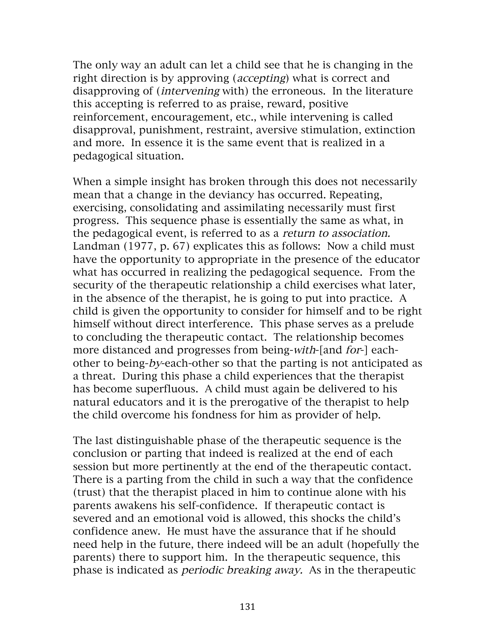The only way an adult can let a child see that he is changing in the right direction is by approving (accepting) what is correct and disapproving of (intervening with) the erroneous. In the literature this accepting is referred to as praise, reward, positive reinforcement, encouragement, etc., while intervening is called disapproval, punishment, restraint, aversive stimulation, extinction and more. In essence it is the same event that is realized in a pedagogical situation.

When a simple insight has broken through this does not necessarily mean that a change in the deviancy has occurred. Repeating, exercising, consolidating and assimilating necessarily must first progress. This sequence phase is essentially the same as what, in the pedagogical event, is referred to as a return to association. Landman (1977, p. 67) explicates this as follows: Now a child must have the opportunity to appropriate in the presence of the educator what has occurred in realizing the pedagogical sequence. From the security of the therapeutic relationship a child exercises what later, in the absence of the therapist, he is going to put into practice. A child is given the opportunity to consider for himself and to be right himself without direct interference. This phase serves as a prelude to concluding the therapeutic contact. The relationship becomes more distanced and progresses from being-with-[and for-] eachother to being-by-each-other so that the parting is not anticipated as a threat. During this phase a child experiences that the therapist has become superfluous. A child must again be delivered to his natural educators and it is the prerogative of the therapist to help the child overcome his fondness for him as provider of help.

The last distinguishable phase of the therapeutic sequence is the conclusion or parting that indeed is realized at the end of each session but more pertinently at the end of the therapeutic contact. There is a parting from the child in such a way that the confidence (trust) that the therapist placed in him to continue alone with his parents awakens his self-confidence. If therapeutic contact is severed and an emotional void is allowed, this shocks the child's confidence anew. He must have the assurance that if he should need help in the future, there indeed will be an adult (hopefully the parents) there to support him. In the therapeutic sequence, this phase is indicated as periodic breaking away. As in the therapeutic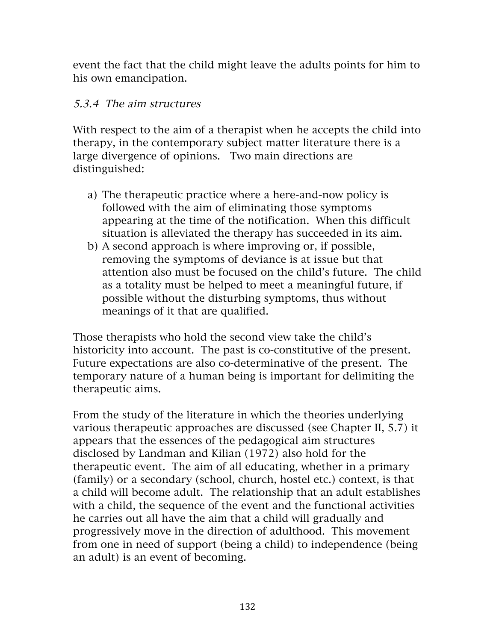event the fact that the child might leave the adults points for him to his own emancipation.

#### 5.3.4 The aim structures

With respect to the aim of a therapist when he accepts the child into therapy, in the contemporary subject matter literature there is a large divergence of opinions. Two main directions are distinguished:

- a) The therapeutic practice where a here-and-now policy is followed with the aim of eliminating those symptoms appearing at the time of the notification. When this difficult situation is alleviated the therapy has succeeded in its aim.
- b) A second approach is where improving or, if possible, removing the symptoms of deviance is at issue but that attention also must be focused on the child's future. The child as a totality must be helped to meet a meaningful future, if possible without the disturbing symptoms, thus without meanings of it that are qualified.

Those therapists who hold the second view take the child's historicity into account. The past is co-constitutive of the present. Future expectations are also co-determinative of the present. The temporary nature of a human being is important for delimiting the therapeutic aims.

From the study of the literature in which the theories underlying various therapeutic approaches are discussed (see Chapter II, 5.7) it appears that the essences of the pedagogical aim structures disclosed by Landman and Kilian (1972) also hold for the therapeutic event. The aim of all educating, whether in a primary (family) or a secondary (school, church, hostel etc.) context, is that a child will become adult. The relationship that an adult establishes with a child, the sequence of the event and the functional activities he carries out all have the aim that a child will gradually and progressively move in the direction of adulthood. This movement from one in need of support (being a child) to independence (being an adult) is an event of becoming.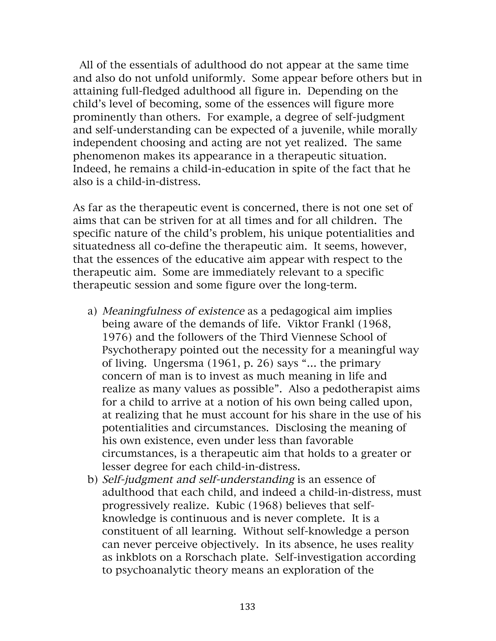All of the essentials of adulthood do not appear at the same time and also do not unfold uniformly. Some appear before others but in attaining full-fledged adulthood all figure in. Depending on the child's level of becoming, some of the essences will figure more prominently than others. For example, a degree of self-judgment and self-understanding can be expected of a juvenile, while morally independent choosing and acting are not yet realized. The same phenomenon makes its appearance in a therapeutic situation. Indeed, he remains a child-in-education in spite of the fact that he also is a child-in-distress.

As far as the therapeutic event is concerned, there is not one set of aims that can be striven for at all times and for all children. The specific nature of the child's problem, his unique potentialities and situatedness all co-define the therapeutic aim. It seems, however, that the essences of the educative aim appear with respect to the therapeutic aim. Some are immediately relevant to a specific therapeutic session and some figure over the long-term.

- a) Meaningfulness of existence as a pedagogical aim implies being aware of the demands of life. Viktor Frankl (1968, 1976) and the followers of the Third Viennese School of Psychotherapy pointed out the necessity for a meaningful way of living. Ungersma (1961, p. 26) says "… the primary concern of man is to invest as much meaning in life and realize as many values as possible". Also a pedotherapist aims for a child to arrive at a notion of his own being called upon, at realizing that he must account for his share in the use of his potentialities and circumstances. Disclosing the meaning of his own existence, even under less than favorable circumstances, is a therapeutic aim that holds to a greater or lesser degree for each child-in-distress.
- b) Self-judgment and self-understanding is an essence of adulthood that each child, and indeed a child-in-distress, must progressively realize. Kubic (1968) believes that selfknowledge is continuous and is never complete. It is a constituent of all learning. Without self-knowledge a person can never perceive objectively. In its absence, he uses reality as inkblots on a Rorschach plate. Self-investigation according to psychoanalytic theory means an exploration of the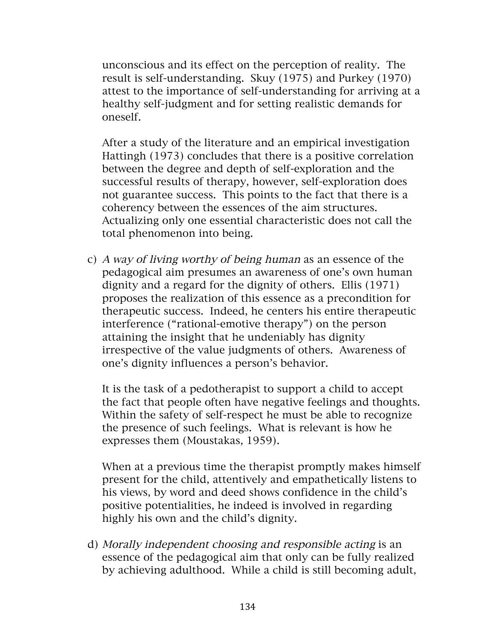unconscious and its effect on the perception of reality. The result is self-understanding. Skuy (1975) and Purkey (1970) attest to the importance of self-understanding for arriving at a healthy self-judgment and for setting realistic demands for oneself.

After a study of the literature and an empirical investigation Hattingh (1973) concludes that there is a positive correlation between the degree and depth of self-exploration and the successful results of therapy, however, self-exploration does not guarantee success. This points to the fact that there is a coherency between the essences of the aim structures. Actualizing only one essential characteristic does not call the total phenomenon into being.

c) A way of living worthy of being human as an essence of the pedagogical aim presumes an awareness of one's own human dignity and a regard for the dignity of others. Ellis (1971) proposes the realization of this essence as a precondition for therapeutic success. Indeed, he centers his entire therapeutic interference ("rational-emotive therapy") on the person attaining the insight that he undeniably has dignity irrespective of the value judgments of others. Awareness of one's dignity influences a person's behavior.

It is the task of a pedotherapist to support a child to accept the fact that people often have negative feelings and thoughts. Within the safety of self-respect he must be able to recognize the presence of such feelings. What is relevant is how he expresses them (Moustakas, 1959).

When at a previous time the therapist promptly makes himself present for the child, attentively and empathetically listens to his views, by word and deed shows confidence in the child's positive potentialities, he indeed is involved in regarding highly his own and the child's dignity.

d) Morally independent choosing and responsible acting is an essence of the pedagogical aim that only can be fully realized by achieving adulthood. While a child is still becoming adult,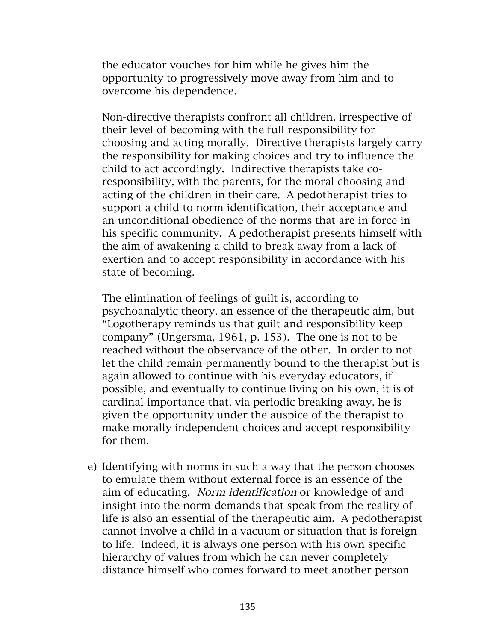the educator vouches for him while he gives him the opportunity to progressively move away from him and to overcome his dependence.

Non-directive therapists confront all children, irrespective of their level of becoming with the full responsibility for choosing and acting morally. Directive therapists largely carry the responsibility for making choices and try to influence the child to act accordingly. Indirective therapists take coresponsibility, with the parents, for the moral choosing and acting of the children in their care. A pedotherapist tries to support a child to norm identification, their acceptance and an unconditional obedience of the norms that are in force in his specific community. A pedotherapist presents himself with the aim of awakening a child to break away from a lack of exertion and to accept responsibility in accordance with his state of becoming.

The elimination of feelings of guilt is, according to psychoanalytic theory, an essence of the therapeutic aim, but "Logotherapy reminds us that guilt and responsibility keep company" (Ungersma, 1961, p. 153). The one is not to be reached without the observance of the other. In order to not let the child remain permanently bound to the therapist but is again allowed to continue with his everyday educators, if possible, and eventually to continue living on his own, it is of cardinal importance that, via periodic breaking away, he is given the opportunity under the auspice of the therapist to make morally independent choices and accept responsibility for them.

e) Identifying with norms in such a way that the person chooses to emulate them without external force is an essence of the aim of educating. Norm identification or knowledge of and insight into the norm-demands that speak from the reality of life is also an essential of the therapeutic aim. A pedotherapist cannot involve a child in a vacuum or situation that is foreign to life. Indeed, it is always one person with his own specific hierarchy of values from which he can never completely distance himself who comes forward to meet another person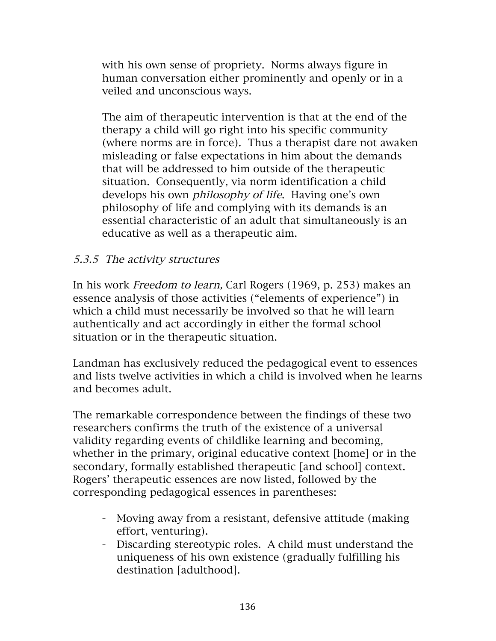with his own sense of propriety. Norms always figure in human conversation either prominently and openly or in a veiled and unconscious ways.

The aim of therapeutic intervention is that at the end of the therapy a child will go right into his specific community (where norms are in force). Thus a therapist dare not awaken misleading or false expectations in him about the demands that will be addressed to him outside of the therapeutic situation. Consequently, via norm identification a child develops his own philosophy of life. Having one's own philosophy of life and complying with its demands is an essential characteristic of an adult that simultaneously is an educative as well as a therapeutic aim.

#### 5.3.5 The activity structures

In his work Freedom to learn, Carl Rogers (1969, p. 253) makes an essence analysis of those activities ("elements of experience") in which a child must necessarily be involved so that he will learn authentically and act accordingly in either the formal school situation or in the therapeutic situation.

Landman has exclusively reduced the pedagogical event to essences and lists twelve activities in which a child is involved when he learns and becomes adult.

The remarkable correspondence between the findings of these two researchers confirms the truth of the existence of a universal validity regarding events of childlike learning and becoming, whether in the primary, original educative context [home] or in the secondary, formally established therapeutic [and school] context. Rogers' therapeutic essences are now listed, followed by the corresponding pedagogical essences in parentheses:

- Moving away from a resistant, defensive attitude (making effort, venturing).
- Discarding stereotypic roles. A child must understand the uniqueness of his own existence (gradually fulfilling his destination [adulthood].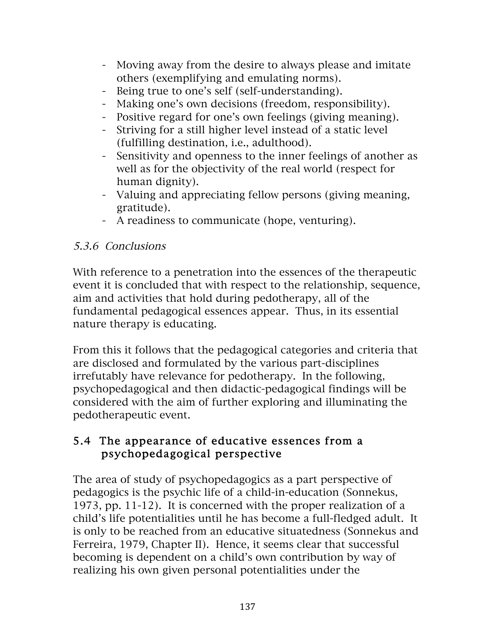- Moving away from the desire to always please and imitate others (exemplifying and emulating norms).
- Being true to one's self (self-understanding).
- Making one's own decisions (freedom, responsibility).
- Positive regard for one's own feelings (giving meaning).
- Striving for a still higher level instead of a static level (fulfilling destination, i.e., adulthood).
- Sensitivity and openness to the inner feelings of another as well as for the objectivity of the real world (respect for human dignity).
- Valuing and appreciating fellow persons (giving meaning, gratitude).
- A readiness to communicate (hope, venturing).

### 5.3.6 Conclusions

With reference to a penetration into the essences of the therapeutic event it is concluded that with respect to the relationship, sequence, aim and activities that hold during pedotherapy, all of the fundamental pedagogical essences appear. Thus, in its essential nature therapy is educating.

From this it follows that the pedagogical categories and criteria that are disclosed and formulated by the various part-disciplines irrefutably have relevance for pedotherapy. In the following, psychopedagogical and then didactic-pedagogical findings will be considered with the aim of further exploring and illuminating the pedotherapeutic event.

#### 5.4 The appearance of educative essences from a psychopedagogical perspective

The area of study of psychopedagogics as a part perspective of pedagogics is the psychic life of a child-in-education (Sonnekus, 1973, pp. 11-12). It is concerned with the proper realization of a child's life potentialities until he has become a full-fledged adult. It is only to be reached from an educative situatedness (Sonnekus and Ferreira, 1979, Chapter II). Hence, it seems clear that successful becoming is dependent on a child's own contribution by way of realizing his own given personal potentialities under the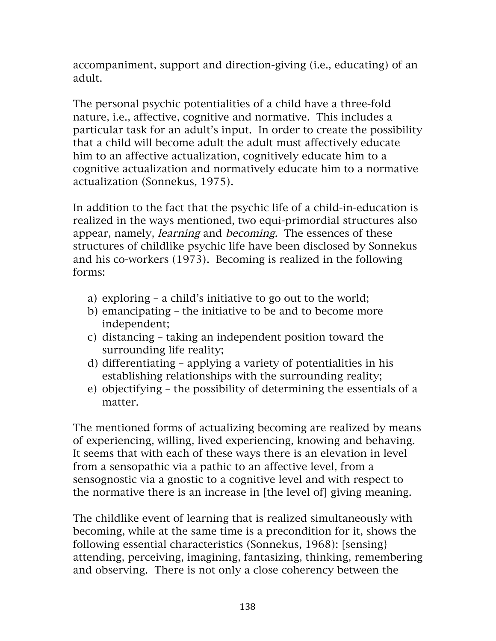accompaniment, support and direction-giving (i.e., educating) of an adult.

The personal psychic potentialities of a child have a three-fold nature, i.e., affective, cognitive and normative. This includes a particular task for an adult's input. In order to create the possibility that a child will become adult the adult must affectively educate him to an affective actualization, cognitively educate him to a cognitive actualization and normatively educate him to a normative actualization (Sonnekus, 1975).

In addition to the fact that the psychic life of a child-in-education is realized in the ways mentioned, two equi-primordial structures also appear, namely, learning and becoming. The essences of these structures of childlike psychic life have been disclosed by Sonnekus and his co-workers (1973). Becoming is realized in the following forms:

- a) exploring a child's initiative to go out to the world;
- b) emancipating the initiative to be and to become more independent;
- c) distancing taking an independent position toward the surrounding life reality;
- d) differentiating applying a variety of potentialities in his establishing relationships with the surrounding reality;
- e) objectifying the possibility of determining the essentials of a matter.

The mentioned forms of actualizing becoming are realized by means of experiencing, willing, lived experiencing, knowing and behaving. It seems that with each of these ways there is an elevation in level from a sensopathic via a pathic to an affective level, from a sensognostic via a gnostic to a cognitive level and with respect to the normative there is an increase in [the level of] giving meaning.

The childlike event of learning that is realized simultaneously with becoming, while at the same time is a precondition for it, shows the following essential characteristics (Sonnekus, 1968): [sensing} attending, perceiving, imagining, fantasizing, thinking, remembering and observing. There is not only a close coherency between the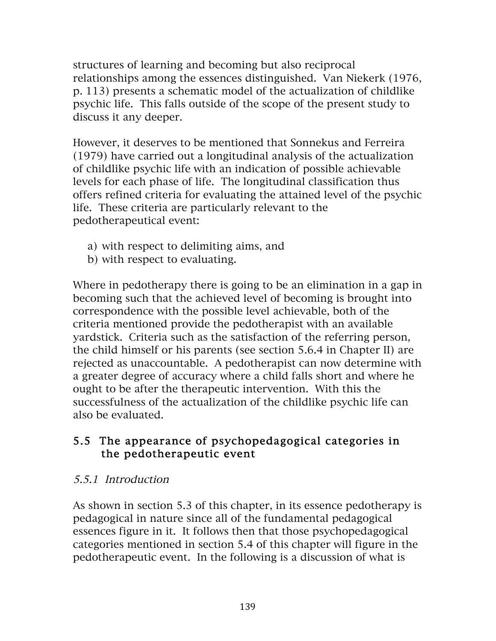structures of learning and becoming but also reciprocal relationships among the essences distinguished. Van Niekerk (1976, p. 113) presents a schematic model of the actualization of childlike psychic life. This falls outside of the scope of the present study to discuss it any deeper.

However, it deserves to be mentioned that Sonnekus and Ferreira (1979) have carried out a longitudinal analysis of the actualization of childlike psychic life with an indication of possible achievable levels for each phase of life. The longitudinal classification thus offers refined criteria for evaluating the attained level of the psychic life. These criteria are particularly relevant to the pedotherapeutical event:

- a) with respect to delimiting aims, and
- b) with respect to evaluating.

Where in pedotherapy there is going to be an elimination in a gap in becoming such that the achieved level of becoming is brought into correspondence with the possible level achievable, both of the criteria mentioned provide the pedotherapist with an available yardstick. Criteria such as the satisfaction of the referring person, the child himself or his parents (see section 5.6.4 in Chapter II) are rejected as unaccountable. A pedotherapist can now determine with a greater degree of accuracy where a child falls short and where he ought to be after the therapeutic intervention. With this the successfulness of the actualization of the childlike psychic life can also be evaluated.

#### 5.5 The appearance of psychopedagogical categories in the pedotherapeutic event

### 5.5.1 Introduction

As shown in section 5.3 of this chapter, in its essence pedotherapy is pedagogical in nature since all of the fundamental pedagogical essences figure in it. It follows then that those psychopedagogical categories mentioned in section 5.4 of this chapter will figure in the pedotherapeutic event. In the following is a discussion of what is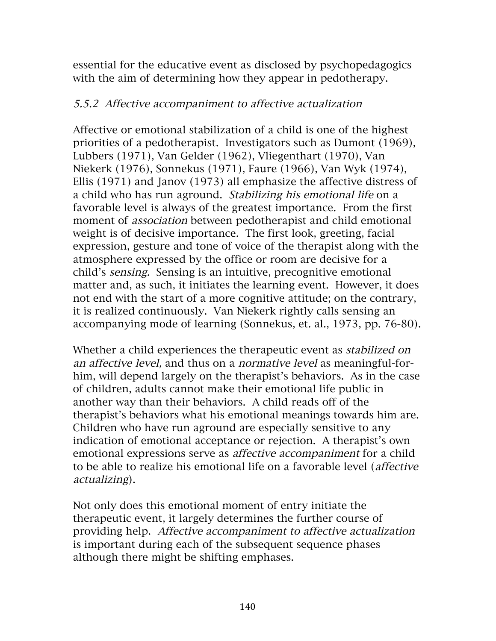essential for the educative event as disclosed by psychopedagogics with the aim of determining how they appear in pedotherapy.

#### 5.5.2 Affective accompaniment to affective actualization

Affective or emotional stabilization of a child is one of the highest priorities of a pedotherapist. Investigators such as Dumont (1969), Lubbers (1971), Van Gelder (1962), Vliegenthart (1970), Van Niekerk (1976), Sonnekus (1971), Faure (1966), Van Wyk (1974), Ellis (1971) and Janov (1973) all emphasize the affective distress of a child who has run aground. Stabilizing his emotional life on a favorable level is always of the greatest importance. From the first moment of association between pedotherapist and child emotional weight is of decisive importance. The first look, greeting, facial expression, gesture and tone of voice of the therapist along with the atmosphere expressed by the office or room are decisive for a child's sensing. Sensing is an intuitive, precognitive emotional matter and, as such, it initiates the learning event. However, it does not end with the start of a more cognitive attitude; on the contrary, it is realized continuously. Van Niekerk rightly calls sensing an accompanying mode of learning (Sonnekus, et. al., 1973, pp. 76-80).

Whether a child experiences the therapeutic event as *stabilized on* an affective level, and thus on a normative level as meaningful-forhim, will depend largely on the therapist's behaviors. As in the case of children, adults cannot make their emotional life public in another way than their behaviors. A child reads off of the therapist's behaviors what his emotional meanings towards him are. Children who have run aground are especially sensitive to any indication of emotional acceptance or rejection. A therapist's own emotional expressions serve as affective accompaniment for a child to be able to realize his emotional life on a favorable level (affective actualizing).

Not only does this emotional moment of entry initiate the therapeutic event, it largely determines the further course of providing help. Affective accompaniment to affective actualization is important during each of the subsequent sequence phases although there might be shifting emphases.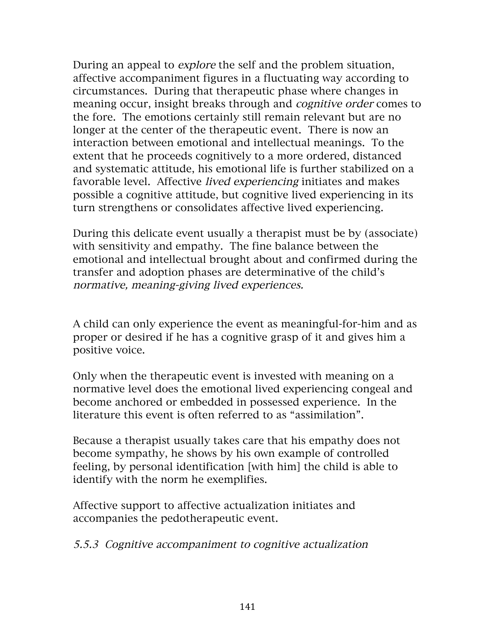During an appeal to explore the self and the problem situation, affective accompaniment figures in a fluctuating way according to circumstances. During that therapeutic phase where changes in meaning occur, insight breaks through and cognitive order comes to the fore. The emotions certainly still remain relevant but are no longer at the center of the therapeutic event. There is now an interaction between emotional and intellectual meanings. To the extent that he proceeds cognitively to a more ordered, distanced and systematic attitude, his emotional life is further stabilized on a favorable level. Affective *lived experiencing* initiates and makes possible a cognitive attitude, but cognitive lived experiencing in its turn strengthens or consolidates affective lived experiencing.

During this delicate event usually a therapist must be by (associate) with sensitivity and empathy. The fine balance between the emotional and intellectual brought about and confirmed during the transfer and adoption phases are determinative of the child's normative, meaning-giving lived experiences.

A child can only experience the event as meaningful-for-him and as proper or desired if he has a cognitive grasp of it and gives him a positive voice.

Only when the therapeutic event is invested with meaning on a normative level does the emotional lived experiencing congeal and become anchored or embedded in possessed experience. In the literature this event is often referred to as "assimilation".

Because a therapist usually takes care that his empathy does not become sympathy, he shows by his own example of controlled feeling, by personal identification [with him] the child is able to identify with the norm he exemplifies.

Affective support to affective actualization initiates and accompanies the pedotherapeutic event.

#### 5.5.3 Cognitive accompaniment to cognitive actualization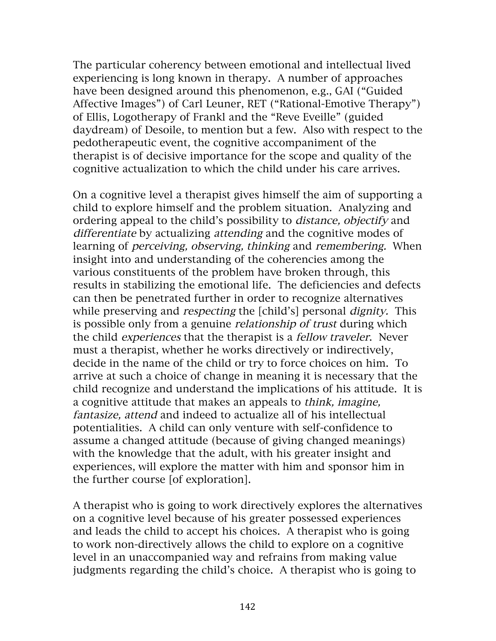The particular coherency between emotional and intellectual lived experiencing is long known in therapy. A number of approaches have been designed around this phenomenon, e.g., GAI ("Guided Affective Images") of Carl Leuner, RET ("Rational-Emotive Therapy") of Ellis, Logotherapy of Frankl and the "Reve Eveille" (guided daydream) of Desoile, to mention but a few. Also with respect to the pedotherapeutic event, the cognitive accompaniment of the therapist is of decisive importance for the scope and quality of the cognitive actualization to which the child under his care arrives.

On a cognitive level a therapist gives himself the aim of supporting a child to explore himself and the problem situation. Analyzing and ordering appeal to the child's possibility to distance, objectify and differentiate by actualizing attending and the cognitive modes of learning of perceiving, observing, thinking and remembering. When insight into and understanding of the coherencies among the various constituents of the problem have broken through, this results in stabilizing the emotional life. The deficiencies and defects can then be penetrated further in order to recognize alternatives while preserving and *respecting* the [child's] personal *dignity*. This is possible only from a genuine *relationship of trust* during which the child experiences that the therapist is a fellow traveler. Never must a therapist, whether he works directively or indirectively, decide in the name of the child or try to force choices on him. To arrive at such a choice of change in meaning it is necessary that the child recognize and understand the implications of his attitude. It is a cognitive attitude that makes an appeals to think, imagine, fantasize, attend and indeed to actualize all of his intellectual potentialities. A child can only venture with self-confidence to assume a changed attitude (because of giving changed meanings) with the knowledge that the adult, with his greater insight and experiences, will explore the matter with him and sponsor him in the further course [of exploration].

A therapist who is going to work directively explores the alternatives on a cognitive level because of his greater possessed experiences and leads the child to accept his choices. A therapist who is going to work non-directively allows the child to explore on a cognitive level in an unaccompanied way and refrains from making value judgments regarding the child's choice. A therapist who is going to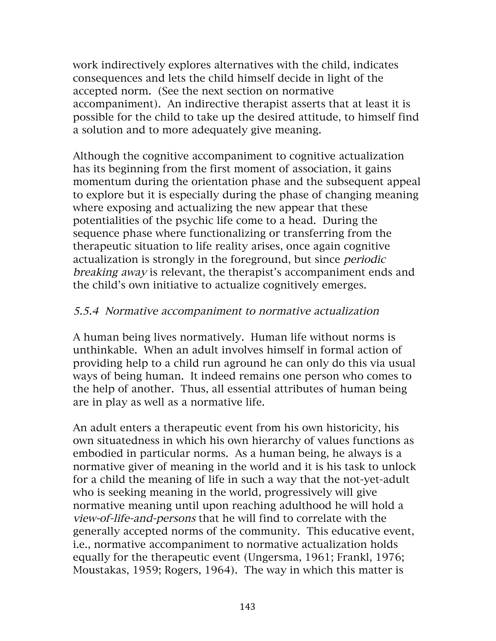work indirectively explores alternatives with the child, indicates consequences and lets the child himself decide in light of the accepted norm. (See the next section on normative accompaniment). An indirective therapist asserts that at least it is possible for the child to take up the desired attitude, to himself find a solution and to more adequately give meaning.

Although the cognitive accompaniment to cognitive actualization has its beginning from the first moment of association, it gains momentum during the orientation phase and the subsequent appeal to explore but it is especially during the phase of changing meaning where exposing and actualizing the new appear that these potentialities of the psychic life come to a head. During the sequence phase where functionalizing or transferring from the therapeutic situation to life reality arises, once again cognitive actualization is strongly in the foreground, but since periodic breaking away is relevant, the therapist's accompaniment ends and the child's own initiative to actualize cognitively emerges.

#### 5.5.4 Normative accompaniment to normative actualization

A human being lives normatively. Human life without norms is unthinkable. When an adult involves himself in formal action of providing help to a child run aground he can only do this via usual ways of being human. It indeed remains one person who comes to the help of another. Thus, all essential attributes of human being are in play as well as a normative life.

An adult enters a therapeutic event from his own historicity, his own situatedness in which his own hierarchy of values functions as embodied in particular norms. As a human being, he always is a normative giver of meaning in the world and it is his task to unlock for a child the meaning of life in such a way that the not-yet-adult who is seeking meaning in the world, progressively will give normative meaning until upon reaching adulthood he will hold a view-of-life-and-persons that he will find to correlate with the generally accepted norms of the community. This educative event, i.e., normative accompaniment to normative actualization holds equally for the therapeutic event (Ungersma, 1961; Frankl, 1976; Moustakas, 1959; Rogers, 1964). The way in which this matter is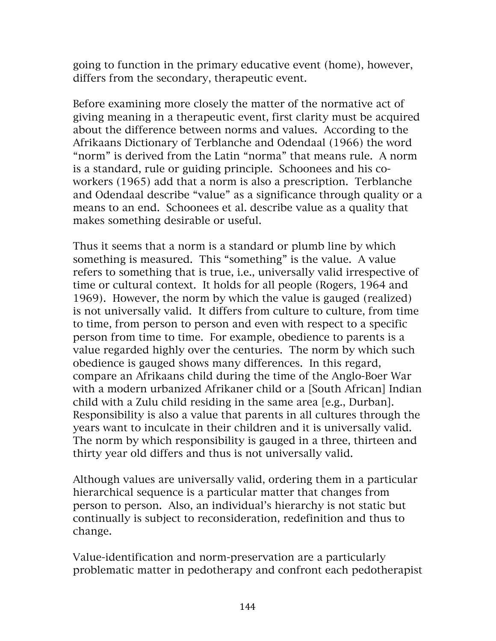going to function in the primary educative event (home), however, differs from the secondary, therapeutic event.

Before examining more closely the matter of the normative act of giving meaning in a therapeutic event, first clarity must be acquired about the difference between norms and values. According to the Afrikaans Dictionary of Terblanche and Odendaal (1966) the word "norm" is derived from the Latin "norma" that means rule. A norm is a standard, rule or guiding principle. Schoonees and his coworkers (1965) add that a norm is also a prescription. Terblanche and Odendaal describe "value" as a significance through quality or a means to an end. Schoonees et al. describe value as a quality that makes something desirable or useful.

Thus it seems that a norm is a standard or plumb line by which something is measured. This "something" is the value. A value refers to something that is true, i.e., universally valid irrespective of time or cultural context. It holds for all people (Rogers, 1964 and 1969). However, the norm by which the value is gauged (realized) is not universally valid. It differs from culture to culture, from time to time, from person to person and even with respect to a specific person from time to time. For example, obedience to parents is a value regarded highly over the centuries. The norm by which such obedience is gauged shows many differences. In this regard, compare an Afrikaans child during the time of the Anglo-Boer War with a modern urbanized Afrikaner child or a [South African] Indian child with a Zulu child residing in the same area [e.g., Durban]. Responsibility is also a value that parents in all cultures through the years want to inculcate in their children and it is universally valid. The norm by which responsibility is gauged in a three, thirteen and thirty year old differs and thus is not universally valid.

Although values are universally valid, ordering them in a particular hierarchical sequence is a particular matter that changes from person to person. Also, an individual's hierarchy is not static but continually is subject to reconsideration, redefinition and thus to change.

Value-identification and norm-preservation are a particularly problematic matter in pedotherapy and confront each pedotherapist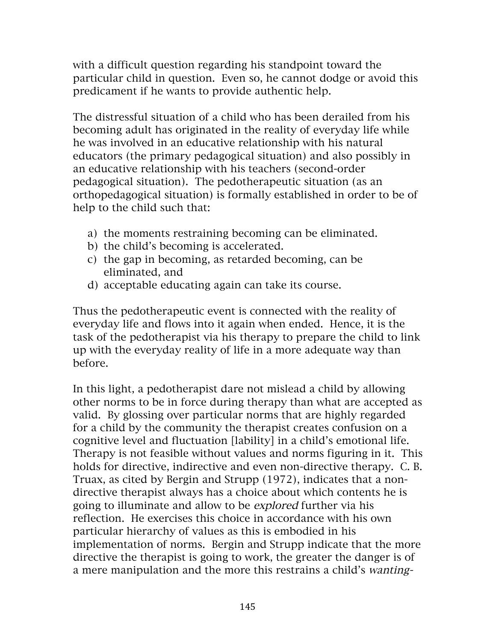with a difficult question regarding his standpoint toward the particular child in question. Even so, he cannot dodge or avoid this predicament if he wants to provide authentic help.

The distressful situation of a child who has been derailed from his becoming adult has originated in the reality of everyday life while he was involved in an educative relationship with his natural educators (the primary pedagogical situation) and also possibly in an educative relationship with his teachers (second-order pedagogical situation). The pedotherapeutic situation (as an orthopedagogical situation) is formally established in order to be of help to the child such that:

- a) the moments restraining becoming can be eliminated.
- b) the child's becoming is accelerated.
- c) the gap in becoming, as retarded becoming, can be eliminated, and
- d) acceptable educating again can take its course.

Thus the pedotherapeutic event is connected with the reality of everyday life and flows into it again when ended. Hence, it is the task of the pedotherapist via his therapy to prepare the child to link up with the everyday reality of life in a more adequate way than before.

In this light, a pedotherapist dare not mislead a child by allowing other norms to be in force during therapy than what are accepted as valid. By glossing over particular norms that are highly regarded for a child by the community the therapist creates confusion on a cognitive level and fluctuation [lability] in a child's emotional life. Therapy is not feasible without values and norms figuring in it. This holds for directive, indirective and even non-directive therapy. C. B. Truax, as cited by Bergin and Strupp (1972), indicates that a nondirective therapist always has a choice about which contents he is going to illuminate and allow to be explored further via his reflection. He exercises this choice in accordance with his own particular hierarchy of values as this is embodied in his implementation of norms. Bergin and Strupp indicate that the more directive the therapist is going to work, the greater the danger is of a mere manipulation and the more this restrains a child's wanting-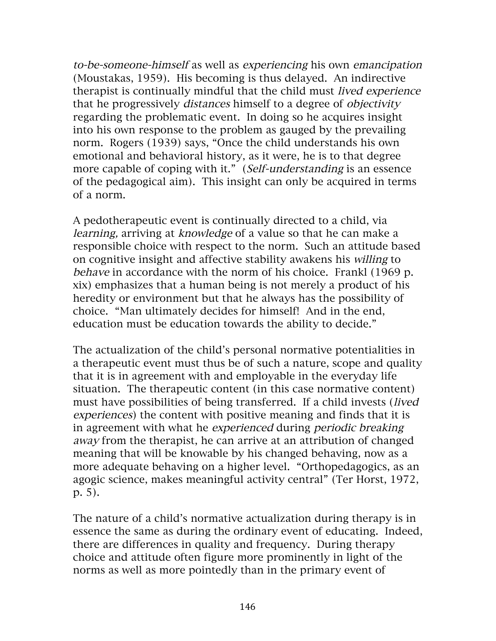to-be-someone-himself as well as experiencing his own emancipation (Moustakas, 1959). His becoming is thus delayed. An indirective therapist is continually mindful that the child must lived experience that he progressively distances himself to a degree of objectivity regarding the problematic event. In doing so he acquires insight into his own response to the problem as gauged by the prevailing norm. Rogers (1939) says, "Once the child understands his own emotional and behavioral history, as it were, he is to that degree more capable of coping with it." (Self-understanding is an essence of the pedagogical aim). This insight can only be acquired in terms of a norm.

A pedotherapeutic event is continually directed to a child, via learning, arriving at knowledge of a value so that he can make a responsible choice with respect to the norm. Such an attitude based on cognitive insight and affective stability awakens his willing to behave in accordance with the norm of his choice. Frankl (1969 p. xix) emphasizes that a human being is not merely a product of his heredity or environment but that he always has the possibility of choice. "Man ultimately decides for himself! And in the end, education must be education towards the ability to decide."

The actualization of the child's personal normative potentialities in a therapeutic event must thus be of such a nature, scope and quality that it is in agreement with and employable in the everyday life situation. The therapeutic content (in this case normative content) must have possibilities of being transferred. If a child invests (lived experiences) the content with positive meaning and finds that it is in agreement with what he experienced during periodic breaking away from the therapist, he can arrive at an attribution of changed meaning that will be knowable by his changed behaving, now as a more adequate behaving on a higher level. "Orthopedagogics, as an agogic science, makes meaningful activity central" (Ter Horst, 1972, p. 5).

The nature of a child's normative actualization during therapy is in essence the same as during the ordinary event of educating. Indeed, there are differences in quality and frequency. During therapy choice and attitude often figure more prominently in light of the norms as well as more pointedly than in the primary event of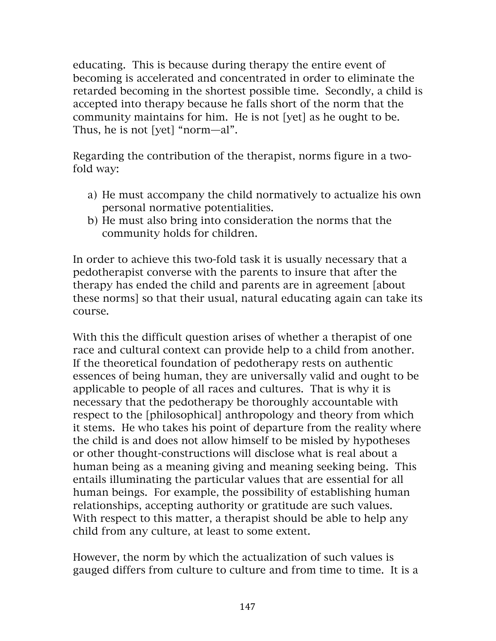educating. This is because during therapy the entire event of becoming is accelerated and concentrated in order to eliminate the retarded becoming in the shortest possible time. Secondly, a child is accepted into therapy because he falls short of the norm that the community maintains for him. He is not [yet] as he ought to be. Thus, he is not [yet] "norm—al".

Regarding the contribution of the therapist, norms figure in a twofold way:

- a) He must accompany the child normatively to actualize his own personal normative potentialities.
- b) He must also bring into consideration the norms that the community holds for children.

In order to achieve this two-fold task it is usually necessary that a pedotherapist converse with the parents to insure that after the therapy has ended the child and parents are in agreement [about these norms] so that their usual, natural educating again can take its course.

With this the difficult question arises of whether a therapist of one race and cultural context can provide help to a child from another. If the theoretical foundation of pedotherapy rests on authentic essences of being human, they are universally valid and ought to be applicable to people of all races and cultures. That is why it is necessary that the pedotherapy be thoroughly accountable with respect to the [philosophical] anthropology and theory from which it stems. He who takes his point of departure from the reality where the child is and does not allow himself to be misled by hypotheses or other thought-constructions will disclose what is real about a human being as a meaning giving and meaning seeking being. This entails illuminating the particular values that are essential for all human beings. For example, the possibility of establishing human relationships, accepting authority or gratitude are such values. With respect to this matter, a therapist should be able to help any child from any culture, at least to some extent.

However, the norm by which the actualization of such values is gauged differs from culture to culture and from time to time. It is a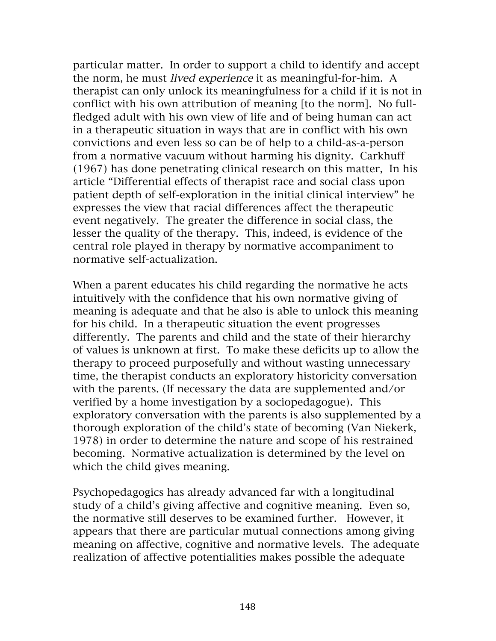particular matter. In order to support a child to identify and accept the norm, he must lived experience it as meaningful-for-him. A therapist can only unlock its meaningfulness for a child if it is not in conflict with his own attribution of meaning [to the norm]. No fullfledged adult with his own view of life and of being human can act in a therapeutic situation in ways that are in conflict with his own convictions and even less so can be of help to a child-as-a-person from a normative vacuum without harming his dignity. Carkhuff (1967) has done penetrating clinical research on this matter, In his article "Differential effects of therapist race and social class upon patient depth of self-exploration in the initial clinical interview" he expresses the view that racial differences affect the therapeutic event negatively. The greater the difference in social class, the lesser the quality of the therapy. This, indeed, is evidence of the central role played in therapy by normative accompaniment to normative self-actualization.

When a parent educates his child regarding the normative he acts intuitively with the confidence that his own normative giving of meaning is adequate and that he also is able to unlock this meaning for his child. In a therapeutic situation the event progresses differently. The parents and child and the state of their hierarchy of values is unknown at first. To make these deficits up to allow the therapy to proceed purposefully and without wasting unnecessary time, the therapist conducts an exploratory historicity conversation with the parents. (If necessary the data are supplemented and/or verified by a home investigation by a sociopedagogue). This exploratory conversation with the parents is also supplemented by a thorough exploration of the child's state of becoming (Van Niekerk, 1978) in order to determine the nature and scope of his restrained becoming. Normative actualization is determined by the level on which the child gives meaning.

Psychopedagogics has already advanced far with a longitudinal study of a child's giving affective and cognitive meaning. Even so, the normative still deserves to be examined further. However, it appears that there are particular mutual connections among giving meaning on affective, cognitive and normative levels. The adequate realization of affective potentialities makes possible the adequate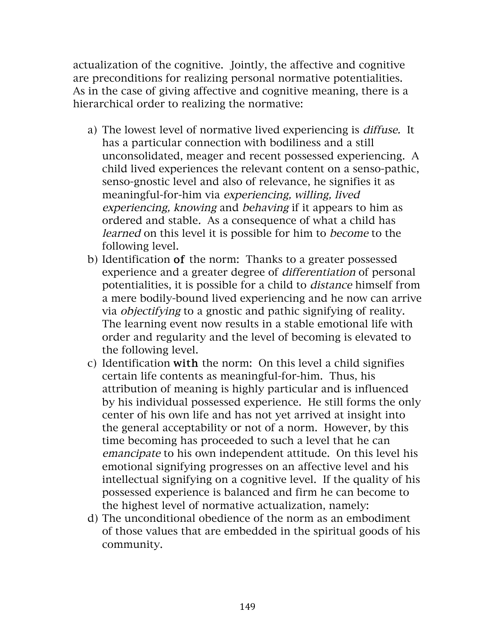actualization of the cognitive. Jointly, the affective and cognitive are preconditions for realizing personal normative potentialities. As in the case of giving affective and cognitive meaning, there is a hierarchical order to realizing the normative:

- a) The lowest level of normative lived experiencing is diffuse. It has a particular connection with bodiliness and a still unconsolidated, meager and recent possessed experiencing. A child lived experiences the relevant content on a senso-pathic, senso-gnostic level and also of relevance, he signifies it as meaningful-for-him via experiencing, willing, lived experiencing, knowing and behaving if it appears to him as ordered and stable. As a consequence of what a child has learned on this level it is possible for him to become to the following level.
- b) Identification of the norm: Thanks to a greater possessed experience and a greater degree of differentiation of personal potentialities, it is possible for a child to distance himself from a mere bodily-bound lived experiencing and he now can arrive via objectifying to a gnostic and pathic signifying of reality. The learning event now results in a stable emotional life with order and regularity and the level of becoming is elevated to the following level.
- c) Identification with the norm: On this level a child signifies certain life contents as meaningful-for-him. Thus, his attribution of meaning is highly particular and is influenced by his individual possessed experience. He still forms the only center of his own life and has not yet arrived at insight into the general acceptability or not of a norm. However, by this time becoming has proceeded to such a level that he can emancipate to his own independent attitude. On this level his emotional signifying progresses on an affective level and his intellectual signifying on a cognitive level. If the quality of his possessed experience is balanced and firm he can become to the highest level of normative actualization, namely:
- d) The unconditional obedience of the norm as an embodiment of those values that are embedded in the spiritual goods of his community.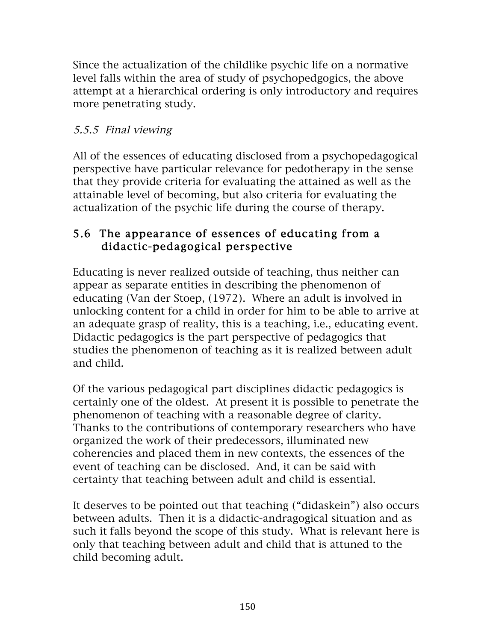Since the actualization of the childlike psychic life on a normative level falls within the area of study of psychopedgogics, the above attempt at a hierarchical ordering is only introductory and requires more penetrating study.

### 5.5.5 Final viewing

All of the essences of educating disclosed from a psychopedagogical perspective have particular relevance for pedotherapy in the sense that they provide criteria for evaluating the attained as well as the attainable level of becoming, but also criteria for evaluating the actualization of the psychic life during the course of therapy.

### 5.6 The appearance of essences of educating from a didactic-pedagogical perspective

Educating is never realized outside of teaching, thus neither can appear as separate entities in describing the phenomenon of educating (Van der Stoep, (1972). Where an adult is involved in unlocking content for a child in order for him to be able to arrive at an adequate grasp of reality, this is a teaching, i.e., educating event. Didactic pedagogics is the part perspective of pedagogics that studies the phenomenon of teaching as it is realized between adult and child.

Of the various pedagogical part disciplines didactic pedagogics is certainly one of the oldest. At present it is possible to penetrate the phenomenon of teaching with a reasonable degree of clarity. Thanks to the contributions of contemporary researchers who have organized the work of their predecessors, illuminated new coherencies and placed them in new contexts, the essences of the event of teaching can be disclosed. And, it can be said with certainty that teaching between adult and child is essential.

It deserves to be pointed out that teaching ("didaskein") also occurs between adults. Then it is a didactic-andragogical situation and as such it falls beyond the scope of this study. What is relevant here is only that teaching between adult and child that is attuned to the child becoming adult.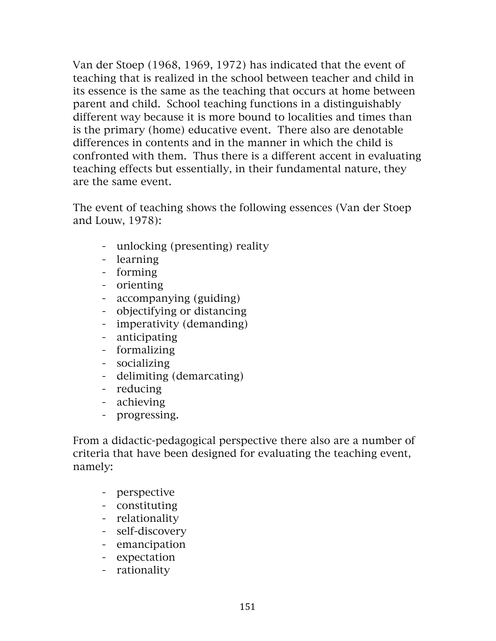Van der Stoep (1968, 1969, 1972) has indicated that the event of teaching that is realized in the school between teacher and child in its essence is the same as the teaching that occurs at home between parent and child. School teaching functions in a distinguishably different way because it is more bound to localities and times than is the primary (home) educative event. There also are denotable differences in contents and in the manner in which the child is confronted with them. Thus there is a different accent in evaluating teaching effects but essentially, in their fundamental nature, they are the same event.

The event of teaching shows the following essences (Van der Stoep and Louw, 1978):

- unlocking (presenting) reality
- learning
- forming
- orienting
- accompanying (guiding)
- objectifying or distancing
- imperativity (demanding)
- anticipating
- formalizing
- socializing
- delimiting (demarcating)
- reducing
- achieving
- progressing.

From a didactic-pedagogical perspective there also are a number of criteria that have been designed for evaluating the teaching event, namely:

- perspective
- constituting
- relationality
- self-discovery
- emancipation
- expectation
- rationality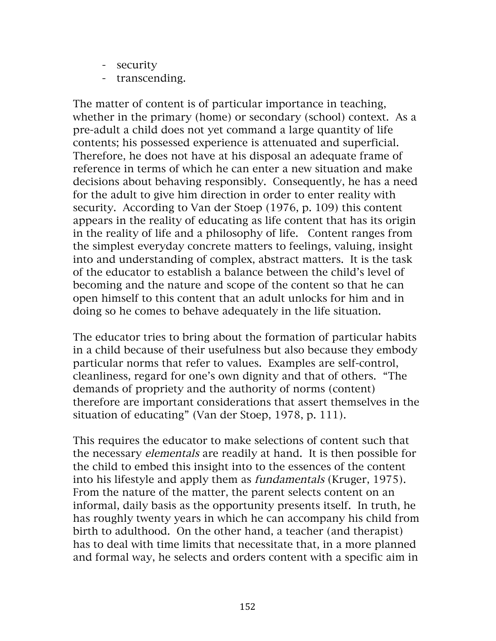- security
- transcending.

The matter of content is of particular importance in teaching, whether in the primary (home) or secondary (school) context. As a pre-adult a child does not yet command a large quantity of life contents; his possessed experience is attenuated and superficial. Therefore, he does not have at his disposal an adequate frame of reference in terms of which he can enter a new situation and make decisions about behaving responsibly. Consequently, he has a need for the adult to give him direction in order to enter reality with security. According to Van der Stoep (1976, p. 109) this content appears in the reality of educating as life content that has its origin in the reality of life and a philosophy of life. Content ranges from the simplest everyday concrete matters to feelings, valuing, insight into and understanding of complex, abstract matters. It is the task of the educator to establish a balance between the child's level of becoming and the nature and scope of the content so that he can open himself to this content that an adult unlocks for him and in doing so he comes to behave adequately in the life situation.

The educator tries to bring about the formation of particular habits in a child because of their usefulness but also because they embody particular norms that refer to values. Examples are self-control, cleanliness, regard for one's own dignity and that of others. "The demands of propriety and the authority of norms (content) therefore are important considerations that assert themselves in the situation of educating" (Van der Stoep, 1978, p. 111).

This requires the educator to make selections of content such that the necessary elementals are readily at hand. It is then possible for the child to embed this insight into to the essences of the content into his lifestyle and apply them as fundamentals (Kruger, 1975). From the nature of the matter, the parent selects content on an informal, daily basis as the opportunity presents itself. In truth, he has roughly twenty years in which he can accompany his child from birth to adulthood. On the other hand, a teacher (and therapist) has to deal with time limits that necessitate that, in a more planned and formal way, he selects and orders content with a specific aim in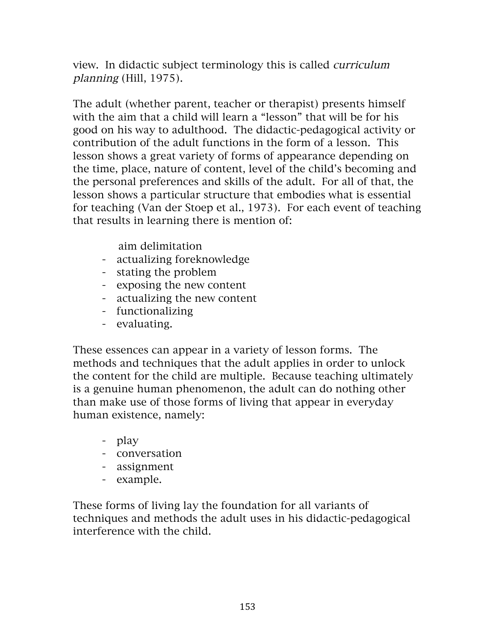view. In didactic subject terminology this is called curriculum planning (Hill, 1975).

The adult (whether parent, teacher or therapist) presents himself with the aim that a child will learn a "lesson" that will be for his good on his way to adulthood. The didactic-pedagogical activity or contribution of the adult functions in the form of a lesson. This lesson shows a great variety of forms of appearance depending on the time, place, nature of content, level of the child's becoming and the personal preferences and skills of the adult. For all of that, the lesson shows a particular structure that embodies what is essential for teaching (Van der Stoep et al., 1973). For each event of teaching that results in learning there is mention of:

aim delimitation

- actualizing foreknowledge
- stating the problem
- exposing the new content
- actualizing the new content
- functionalizing
- evaluating.

These essences can appear in a variety of lesson forms. The methods and techniques that the adult applies in order to unlock the content for the child are multiple. Because teaching ultimately is a genuine human phenomenon, the adult can do nothing other than make use of those forms of living that appear in everyday human existence, namely:

- play
- conversation
- assignment
- example.

These forms of living lay the foundation for all variants of techniques and methods the adult uses in his didactic-pedagogical interference with the child.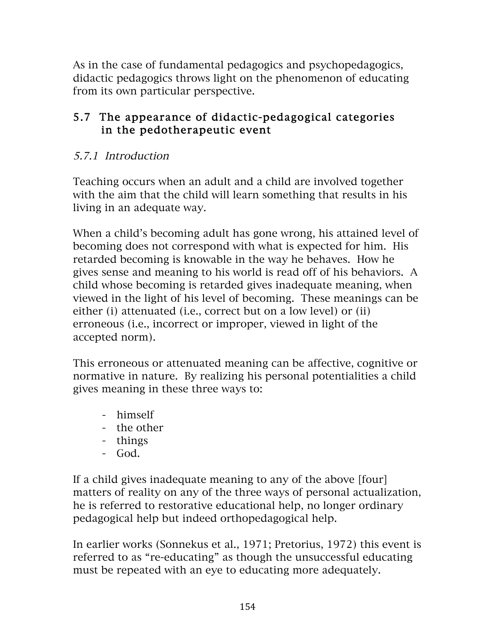As in the case of fundamental pedagogics and psychopedagogics, didactic pedagogics throws light on the phenomenon of educating from its own particular perspective.

### 5.7 The appearance of didactic-pedagogical categories in the pedotherapeutic event

### 5.7.1 Introduction

Teaching occurs when an adult and a child are involved together with the aim that the child will learn something that results in his living in an adequate way.

When a child's becoming adult has gone wrong, his attained level of becoming does not correspond with what is expected for him. His retarded becoming is knowable in the way he behaves. How he gives sense and meaning to his world is read off of his behaviors. A child whose becoming is retarded gives inadequate meaning, when viewed in the light of his level of becoming. These meanings can be either (i) attenuated (i.e., correct but on a low level) or (ii) erroneous (i.e., incorrect or improper, viewed in light of the accepted norm).

This erroneous or attenuated meaning can be affective, cognitive or normative in nature. By realizing his personal potentialities a child gives meaning in these three ways to:

- himself
- the other
- things
- God.

If a child gives inadequate meaning to any of the above [four] matters of reality on any of the three ways of personal actualization, he is referred to restorative educational help, no longer ordinary pedagogical help but indeed orthopedagogical help.

In earlier works (Sonnekus et al., 1971; Pretorius, 1972) this event is referred to as "re-educating" as though the unsuccessful educating must be repeated with an eye to educating more adequately.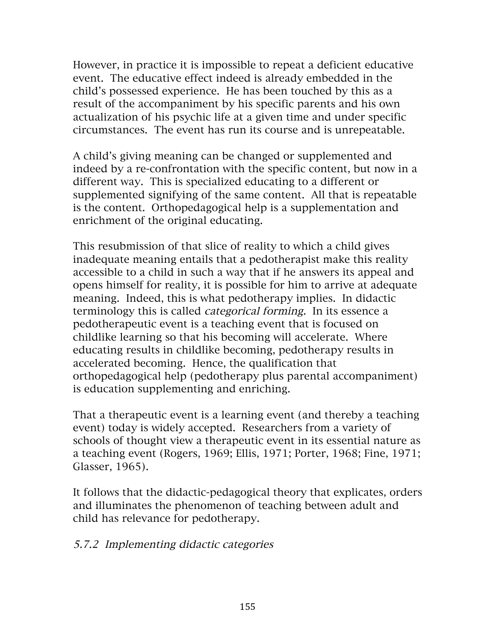However, in practice it is impossible to repeat a deficient educative event. The educative effect indeed is already embedded in the child's possessed experience. He has been touched by this as a result of the accompaniment by his specific parents and his own actualization of his psychic life at a given time and under specific circumstances. The event has run its course and is unrepeatable.

A child's giving meaning can be changed or supplemented and indeed by a re-confrontation with the specific content, but now in a different way. This is specialized educating to a different or supplemented signifying of the same content. All that is repeatable is the content. Orthopedagogical help is a supplementation and enrichment of the original educating.

This resubmission of that slice of reality to which a child gives inadequate meaning entails that a pedotherapist make this reality accessible to a child in such a way that if he answers its appeal and opens himself for reality, it is possible for him to arrive at adequate meaning. Indeed, this is what pedotherapy implies. In didactic terminology this is called categorical forming. In its essence a pedotherapeutic event is a teaching event that is focused on childlike learning so that his becoming will accelerate. Where educating results in childlike becoming, pedotherapy results in accelerated becoming. Hence, the qualification that orthopedagogical help (pedotherapy plus parental accompaniment) is education supplementing and enriching.

That a therapeutic event is a learning event (and thereby a teaching event) today is widely accepted. Researchers from a variety of schools of thought view a therapeutic event in its essential nature as a teaching event (Rogers, 1969; Ellis, 1971; Porter, 1968; Fine, 1971; Glasser, 1965).

It follows that the didactic-pedagogical theory that explicates, orders and illuminates the phenomenon of teaching between adult and child has relevance for pedotherapy.

#### 5.7.2 Implementing didactic categories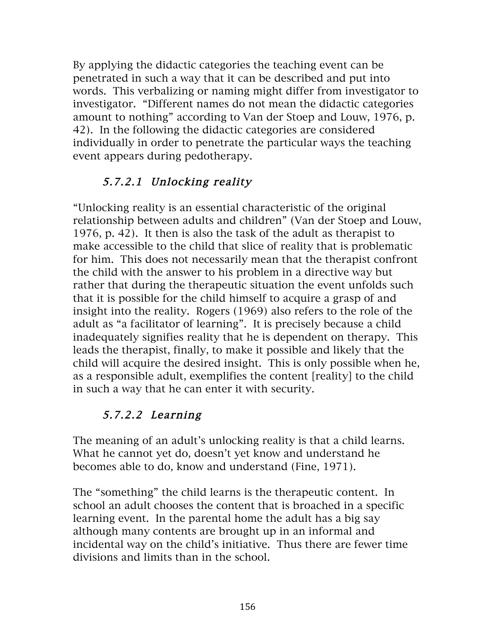By applying the didactic categories the teaching event can be penetrated in such a way that it can be described and put into words. This verbalizing or naming might differ from investigator to investigator. "Different names do not mean the didactic categories amount to nothing" according to Van der Stoep and Louw, 1976, p. 42). In the following the didactic categories are considered individually in order to penetrate the particular ways the teaching event appears during pedotherapy.

## 5.7.2.1 Unlocking reality

"Unlocking reality is an essential characteristic of the original relationship between adults and children" (Van der Stoep and Louw, 1976, p. 42). It then is also the task of the adult as therapist to make accessible to the child that slice of reality that is problematic for him. This does not necessarily mean that the therapist confront the child with the answer to his problem in a directive way but rather that during the therapeutic situation the event unfolds such that it is possible for the child himself to acquire a grasp of and insight into the reality. Rogers (1969) also refers to the role of the adult as "a facilitator of learning". It is precisely because a child inadequately signifies reality that he is dependent on therapy. This leads the therapist, finally, to make it possible and likely that the child will acquire the desired insight. This is only possible when he, as a responsible adult, exemplifies the content [reality] to the child in such a way that he can enter it with security.

# 5.7.2.2 Learning

The meaning of an adult's unlocking reality is that a child learns. What he cannot yet do, doesn't yet know and understand he becomes able to do, know and understand (Fine, 1971).

The "something" the child learns is the therapeutic content. In school an adult chooses the content that is broached in a specific learning event. In the parental home the adult has a big say although many contents are brought up in an informal and incidental way on the child's initiative. Thus there are fewer time divisions and limits than in the school.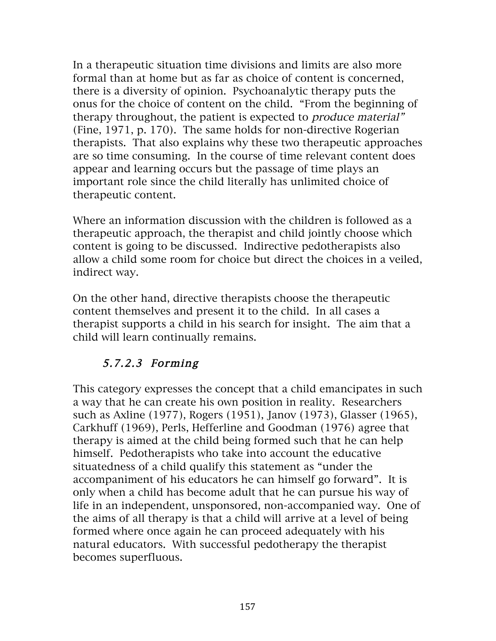In a therapeutic situation time divisions and limits are also more formal than at home but as far as choice of content is concerned, there is a diversity of opinion. Psychoanalytic therapy puts the onus for the choice of content on the child. "From the beginning of therapy throughout, the patient is expected to produce material" (Fine, 1971, p. 170). The same holds for non-directive Rogerian therapists. That also explains why these two therapeutic approaches are so time consuming. In the course of time relevant content does appear and learning occurs but the passage of time plays an important role since the child literally has unlimited choice of therapeutic content.

Where an information discussion with the children is followed as a therapeutic approach, the therapist and child jointly choose which content is going to be discussed. Indirective pedotherapists also allow a child some room for choice but direct the choices in a veiled, indirect way.

On the other hand, directive therapists choose the therapeutic content themselves and present it to the child. In all cases a therapist supports a child in his search for insight. The aim that a child will learn continually remains.

# 5.7.2.3 Forming

This category expresses the concept that a child emancipates in such a way that he can create his own position in reality. Researchers such as Axline (1977), Rogers (1951), Janov (1973), Glasser (1965), Carkhuff (1969), Perls, Hefferline and Goodman (1976) agree that therapy is aimed at the child being formed such that he can help himself. Pedotherapists who take into account the educative situatedness of a child qualify this statement as "under the accompaniment of his educators he can himself go forward". It is only when a child has become adult that he can pursue his way of life in an independent, unsponsored, non-accompanied way. One of the aims of all therapy is that a child will arrive at a level of being formed where once again he can proceed adequately with his natural educators. With successful pedotherapy the therapist becomes superfluous.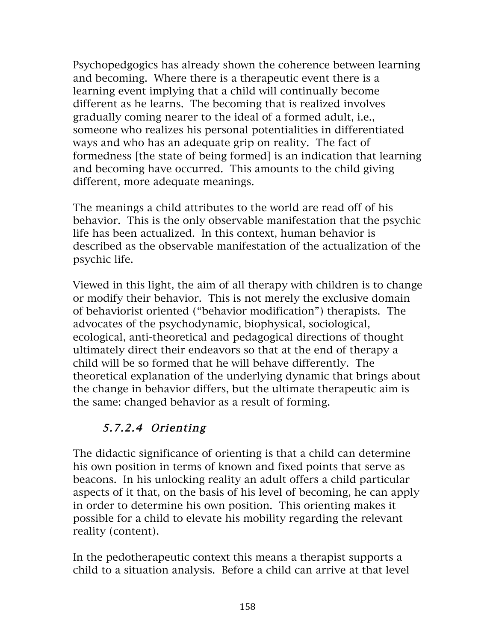Psychopedgogics has already shown the coherence between learning and becoming. Where there is a therapeutic event there is a learning event implying that a child will continually become different as he learns. The becoming that is realized involves gradually coming nearer to the ideal of a formed adult, i.e., someone who realizes his personal potentialities in differentiated ways and who has an adequate grip on reality. The fact of formedness [the state of being formed] is an indication that learning and becoming have occurred. This amounts to the child giving different, more adequate meanings.

The meanings a child attributes to the world are read off of his behavior. This is the only observable manifestation that the psychic life has been actualized. In this context, human behavior is described as the observable manifestation of the actualization of the psychic life.

Viewed in this light, the aim of all therapy with children is to change or modify their behavior. This is not merely the exclusive domain of behaviorist oriented ("behavior modification") therapists. The advocates of the psychodynamic, biophysical, sociological, ecological, anti-theoretical and pedagogical directions of thought ultimately direct their endeavors so that at the end of therapy a child will be so formed that he will behave differently. The theoretical explanation of the underlying dynamic that brings about the change in behavior differs, but the ultimate therapeutic aim is the same: changed behavior as a result of forming.

# 5.7.2.4 Orienting

The didactic significance of orienting is that a child can determine his own position in terms of known and fixed points that serve as beacons. In his unlocking reality an adult offers a child particular aspects of it that, on the basis of his level of becoming, he can apply in order to determine his own position. This orienting makes it possible for a child to elevate his mobility regarding the relevant reality (content).

In the pedotherapeutic context this means a therapist supports a child to a situation analysis. Before a child can arrive at that level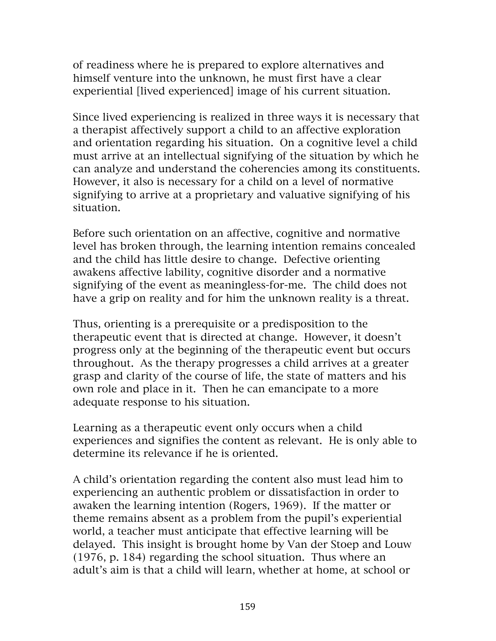of readiness where he is prepared to explore alternatives and himself venture into the unknown, he must first have a clear experiential [lived experienced] image of his current situation.

Since lived experiencing is realized in three ways it is necessary that a therapist affectively support a child to an affective exploration and orientation regarding his situation. On a cognitive level a child must arrive at an intellectual signifying of the situation by which he can analyze and understand the coherencies among its constituents. However, it also is necessary for a child on a level of normative signifying to arrive at a proprietary and valuative signifying of his situation.

Before such orientation on an affective, cognitive and normative level has broken through, the learning intention remains concealed and the child has little desire to change. Defective orienting awakens affective lability, cognitive disorder and a normative signifying of the event as meaningless-for-me. The child does not have a grip on reality and for him the unknown reality is a threat.

Thus, orienting is a prerequisite or a predisposition to the therapeutic event that is directed at change. However, it doesn't progress only at the beginning of the therapeutic event but occurs throughout. As the therapy progresses a child arrives at a greater grasp and clarity of the course of life, the state of matters and his own role and place in it. Then he can emancipate to a more adequate response to his situation.

Learning as a therapeutic event only occurs when a child experiences and signifies the content as relevant. He is only able to determine its relevance if he is oriented.

A child's orientation regarding the content also must lead him to experiencing an authentic problem or dissatisfaction in order to awaken the learning intention (Rogers, 1969). If the matter or theme remains absent as a problem from the pupil's experiential world, a teacher must anticipate that effective learning will be delayed. This insight is brought home by Van der Stoep and Louw (1976, p. 184) regarding the school situation. Thus where an adult's aim is that a child will learn, whether at home, at school or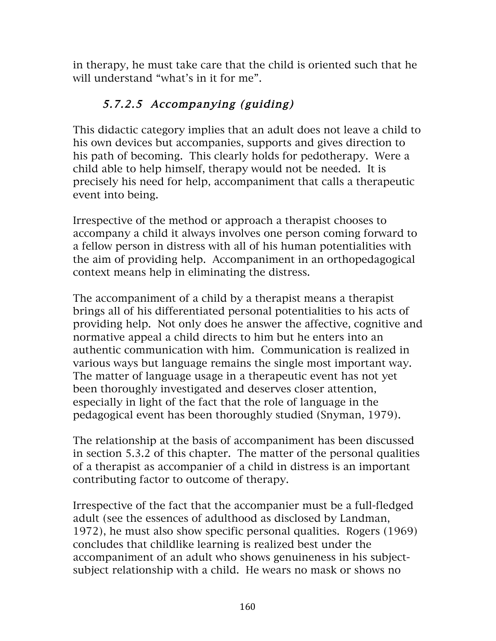in therapy, he must take care that the child is oriented such that he will understand "what's in it for me".

# 5.7.2.5 Accompanying (guiding)

This didactic category implies that an adult does not leave a child to his own devices but accompanies, supports and gives direction to his path of becoming. This clearly holds for pedotherapy. Were a child able to help himself, therapy would not be needed. It is precisely his need for help, accompaniment that calls a therapeutic event into being.

Irrespective of the method or approach a therapist chooses to accompany a child it always involves one person coming forward to a fellow person in distress with all of his human potentialities with the aim of providing help. Accompaniment in an orthopedagogical context means help in eliminating the distress.

The accompaniment of a child by a therapist means a therapist brings all of his differentiated personal potentialities to his acts of providing help. Not only does he answer the affective, cognitive and normative appeal a child directs to him but he enters into an authentic communication with him. Communication is realized in various ways but language remains the single most important way. The matter of language usage in a therapeutic event has not yet been thoroughly investigated and deserves closer attention, especially in light of the fact that the role of language in the pedagogical event has been thoroughly studied (Snyman, 1979).

The relationship at the basis of accompaniment has been discussed in section 5.3.2 of this chapter. The matter of the personal qualities of a therapist as accompanier of a child in distress is an important contributing factor to outcome of therapy.

Irrespective of the fact that the accompanier must be a full-fledged adult (see the essences of adulthood as disclosed by Landman, 1972), he must also show specific personal qualities. Rogers (1969) concludes that childlike learning is realized best under the accompaniment of an adult who shows genuineness in his subjectsubject relationship with a child. He wears no mask or shows no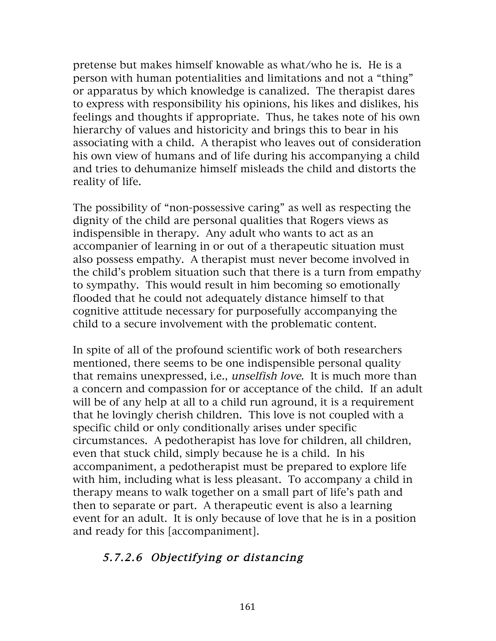pretense but makes himself knowable as what/who he is. He is a person with human potentialities and limitations and not a "thing" or apparatus by which knowledge is canalized. The therapist dares to express with responsibility his opinions, his likes and dislikes, his feelings and thoughts if appropriate. Thus, he takes note of his own hierarchy of values and historicity and brings this to bear in his associating with a child. A therapist who leaves out of consideration his own view of humans and of life during his accompanying a child and tries to dehumanize himself misleads the child and distorts the reality of life.

The possibility of "non-possessive caring" as well as respecting the dignity of the child are personal qualities that Rogers views as indispensible in therapy. Any adult who wants to act as an accompanier of learning in or out of a therapeutic situation must also possess empathy. A therapist must never become involved in the child's problem situation such that there is a turn from empathy to sympathy. This would result in him becoming so emotionally flooded that he could not adequately distance himself to that cognitive attitude necessary for purposefully accompanying the child to a secure involvement with the problematic content.

In spite of all of the profound scientific work of both researchers mentioned, there seems to be one indispensible personal quality that remains unexpressed, i.e., unselfish love. It is much more than a concern and compassion for or acceptance of the child. If an adult will be of any help at all to a child run aground, it is a requirement that he lovingly cherish children. This love is not coupled with a specific child or only conditionally arises under specific circumstances. A pedotherapist has love for children, all children, even that stuck child, simply because he is a child. In his accompaniment, a pedotherapist must be prepared to explore life with him, including what is less pleasant. To accompany a child in therapy means to walk together on a small part of life's path and then to separate or part. A therapeutic event is also a learning event for an adult. It is only because of love that he is in a position and ready for this [accompaniment].

## 5.7.2.6 Objectifying or distancing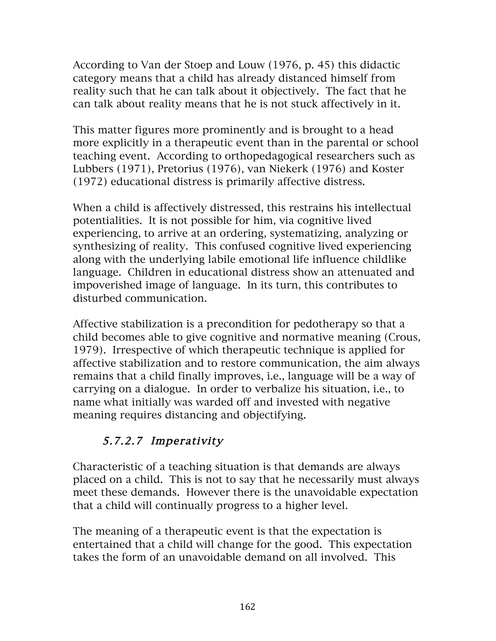According to Van der Stoep and Louw (1976, p. 45) this didactic category means that a child has already distanced himself from reality such that he can talk about it objectively. The fact that he can talk about reality means that he is not stuck affectively in it.

This matter figures more prominently and is brought to a head more explicitly in a therapeutic event than in the parental or school teaching event. According to orthopedagogical researchers such as Lubbers (1971), Pretorius (1976), van Niekerk (1976) and Koster (1972) educational distress is primarily affective distress.

When a child is affectively distressed, this restrains his intellectual potentialities. It is not possible for him, via cognitive lived experiencing, to arrive at an ordering, systematizing, analyzing or synthesizing of reality. This confused cognitive lived experiencing along with the underlying labile emotional life influence childlike language. Children in educational distress show an attenuated and impoverished image of language. In its turn, this contributes to disturbed communication.

Affective stabilization is a precondition for pedotherapy so that a child becomes able to give cognitive and normative meaning (Crous, 1979). Irrespective of which therapeutic technique is applied for affective stabilization and to restore communication, the aim always remains that a child finally improves, i.e., language will be a way of carrying on a dialogue. In order to verbalize his situation, i.e., to name what initially was warded off and invested with negative meaning requires distancing and objectifying.

# 5.7.2.7 Imperativity

Characteristic of a teaching situation is that demands are always placed on a child. This is not to say that he necessarily must always meet these demands. However there is the unavoidable expectation that a child will continually progress to a higher level.

The meaning of a therapeutic event is that the expectation is entertained that a child will change for the good. This expectation takes the form of an unavoidable demand on all involved. This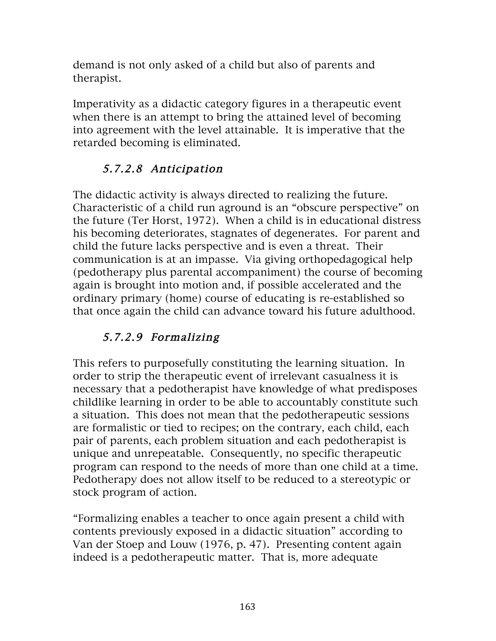demand is not only asked of a child but also of parents and therapist.

Imperativity as a didactic category figures in a therapeutic event when there is an attempt to bring the attained level of becoming into agreement with the level attainable. It is imperative that the retarded becoming is eliminated.

# 5.7.2.8 Anticipation

The didactic activity is always directed to realizing the future. Characteristic of a child run aground is an "obscure perspective" on the future (Ter Horst, 1972). When a child is in educational distress his becoming deteriorates, stagnates of degenerates. For parent and child the future lacks perspective and is even a threat. Their communication is at an impasse. Via giving orthopedagogical help (pedotherapy plus parental accompaniment) the course of becoming again is brought into motion and, if possible accelerated and the ordinary primary (home) course of educating is re-established so that once again the child can advance toward his future adulthood.

# 5.7.2.9 Formalizing

This refers to purposefully constituting the learning situation. In order to strip the therapeutic event of irrelevant casualness it is necessary that a pedotherapist have knowledge of what predisposes childlike learning in order to be able to accountably constitute such a situation. This does not mean that the pedotherapeutic sessions are formalistic or tied to recipes; on the contrary, each child, each pair of parents, each problem situation and each pedotherapist is unique and unrepeatable. Consequently, no specific therapeutic program can respond to the needs of more than one child at a time. Pedotherapy does not allow itself to be reduced to a stereotypic or stock program of action.

"Formalizing enables a teacher to once again present a child with contents previously exposed in a didactic situation" according to Van der Stoep and Louw (1976, p. 47). Presenting content again indeed is a pedotherapeutic matter. That is, more adequate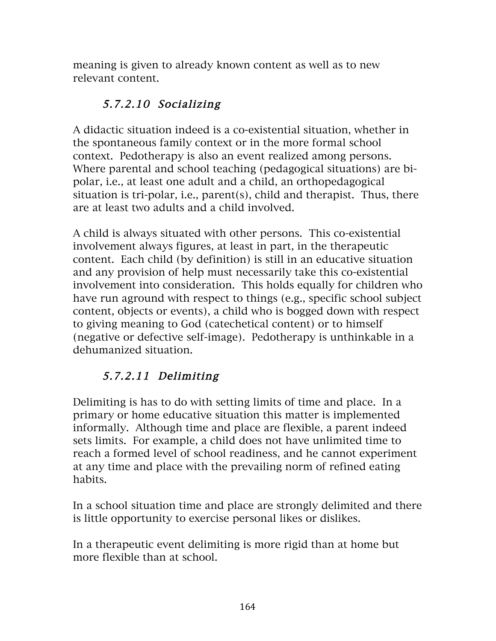meaning is given to already known content as well as to new relevant content.

## 5.7.2.10 Socializing

A didactic situation indeed is a co-existential situation, whether in the spontaneous family context or in the more formal school context. Pedotherapy is also an event realized among persons. Where parental and school teaching (pedagogical situations) are bipolar, i.e., at least one adult and a child, an orthopedagogical situation is tri-polar, i.e., parent(s), child and therapist. Thus, there are at least two adults and a child involved.

A child is always situated with other persons. This co-existential involvement always figures, at least in part, in the therapeutic content. Each child (by definition) is still in an educative situation and any provision of help must necessarily take this co-existential involvement into consideration. This holds equally for children who have run aground with respect to things (e.g., specific school subject content, objects or events), a child who is bogged down with respect to giving meaning to God (catechetical content) or to himself (negative or defective self-image). Pedotherapy is unthinkable in a dehumanized situation.

# 5.7.2.11 Delimiting

Delimiting is has to do with setting limits of time and place. In a primary or home educative situation this matter is implemented informally. Although time and place are flexible, a parent indeed sets limits. For example, a child does not have unlimited time to reach a formed level of school readiness, and he cannot experiment at any time and place with the prevailing norm of refined eating habits.

In a school situation time and place are strongly delimited and there is little opportunity to exercise personal likes or dislikes.

In a therapeutic event delimiting is more rigid than at home but more flexible than at school.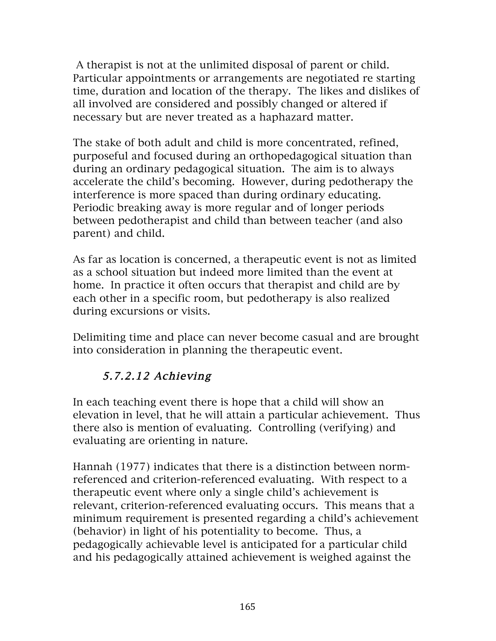A therapist is not at the unlimited disposal of parent or child. Particular appointments or arrangements are negotiated re starting time, duration and location of the therapy. The likes and dislikes of all involved are considered and possibly changed or altered if necessary but are never treated as a haphazard matter.

The stake of both adult and child is more concentrated, refined, purposeful and focused during an orthopedagogical situation than during an ordinary pedagogical situation. The aim is to always accelerate the child's becoming. However, during pedotherapy the interference is more spaced than during ordinary educating. Periodic breaking away is more regular and of longer periods between pedotherapist and child than between teacher (and also parent) and child.

As far as location is concerned, a therapeutic event is not as limited as a school situation but indeed more limited than the event at home. In practice it often occurs that therapist and child are by each other in a specific room, but pedotherapy is also realized during excursions or visits.

Delimiting time and place can never become casual and are brought into consideration in planning the therapeutic event.

# 5.7.2.12 Achieving

In each teaching event there is hope that a child will show an elevation in level, that he will attain a particular achievement. Thus there also is mention of evaluating. Controlling (verifying) and evaluating are orienting in nature.

Hannah (1977) indicates that there is a distinction between normreferenced and criterion-referenced evaluating. With respect to a therapeutic event where only a single child's achievement is relevant, criterion-referenced evaluating occurs. This means that a minimum requirement is presented regarding a child's achievement (behavior) in light of his potentiality to become. Thus, a pedagogically achievable level is anticipated for a particular child and his pedagogically attained achievement is weighed against the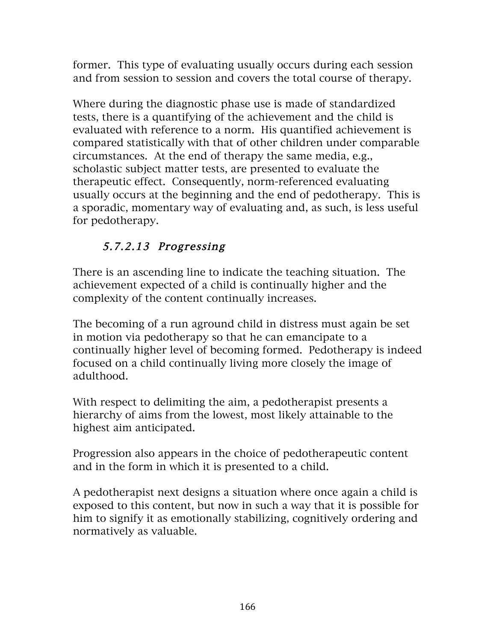former. This type of evaluating usually occurs during each session and from session to session and covers the total course of therapy.

Where during the diagnostic phase use is made of standardized tests, there is a quantifying of the achievement and the child is evaluated with reference to a norm. His quantified achievement is compared statistically with that of other children under comparable circumstances. At the end of therapy the same media, e.g., scholastic subject matter tests, are presented to evaluate the therapeutic effect. Consequently, norm-referenced evaluating usually occurs at the beginning and the end of pedotherapy. This is a sporadic, momentary way of evaluating and, as such, is less useful for pedotherapy.

# 5.7.2.13 Progressing

There is an ascending line to indicate the teaching situation. The achievement expected of a child is continually higher and the complexity of the content continually increases.

The becoming of a run aground child in distress must again be set in motion via pedotherapy so that he can emancipate to a continually higher level of becoming formed. Pedotherapy is indeed focused on a child continually living more closely the image of adulthood.

With respect to delimiting the aim, a pedotherapist presents a hierarchy of aims from the lowest, most likely attainable to the highest aim anticipated.

Progression also appears in the choice of pedotherapeutic content and in the form in which it is presented to a child.

A pedotherapist next designs a situation where once again a child is exposed to this content, but now in such a way that it is possible for him to signify it as emotionally stabilizing, cognitively ordering and normatively as valuable.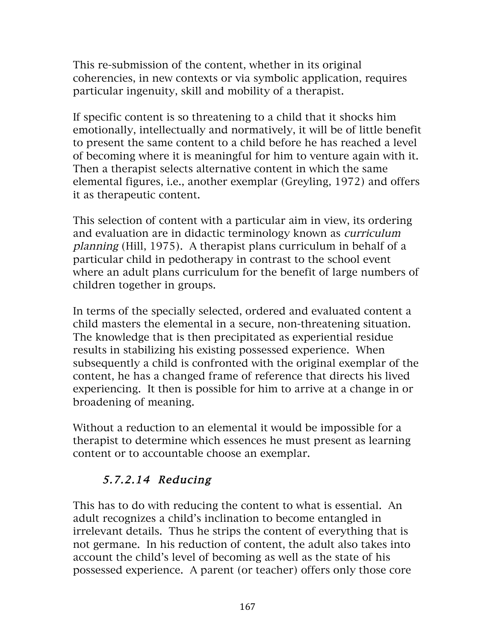This re-submission of the content, whether in its original coherencies, in new contexts or via symbolic application, requires particular ingenuity, skill and mobility of a therapist.

If specific content is so threatening to a child that it shocks him emotionally, intellectually and normatively, it will be of little benefit to present the same content to a child before he has reached a level of becoming where it is meaningful for him to venture again with it. Then a therapist selects alternative content in which the same elemental figures, i.e., another exemplar (Greyling, 1972) and offers it as therapeutic content.

This selection of content with a particular aim in view, its ordering and evaluation are in didactic terminology known as curriculum planning (Hill, 1975). A therapist plans curriculum in behalf of a particular child in pedotherapy in contrast to the school event where an adult plans curriculum for the benefit of large numbers of children together in groups.

In terms of the specially selected, ordered and evaluated content a child masters the elemental in a secure, non-threatening situation. The knowledge that is then precipitated as experiential residue results in stabilizing his existing possessed experience. When subsequently a child is confronted with the original exemplar of the content, he has a changed frame of reference that directs his lived experiencing. It then is possible for him to arrive at a change in or broadening of meaning.

Without a reduction to an elemental it would be impossible for a therapist to determine which essences he must present as learning content or to accountable choose an exemplar.

# 5.7.2.14 Reducing

This has to do with reducing the content to what is essential. An adult recognizes a child's inclination to become entangled in irrelevant details. Thus he strips the content of everything that is not germane. In his reduction of content, the adult also takes into account the child's level of becoming as well as the state of his possessed experience. A parent (or teacher) offers only those core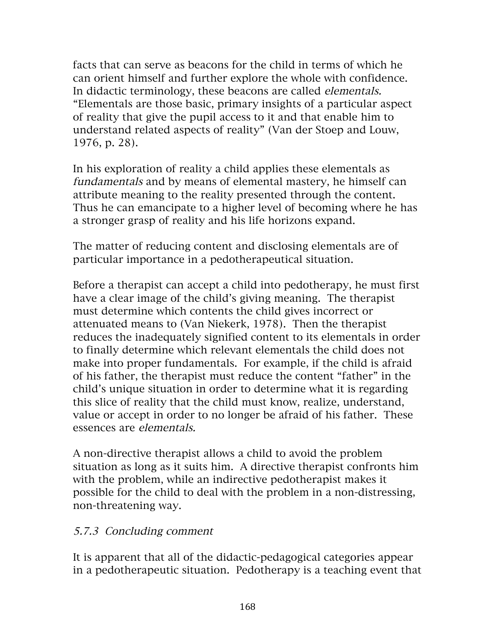facts that can serve as beacons for the child in terms of which he can orient himself and further explore the whole with confidence. In didactic terminology, these beacons are called elementals. "Elementals are those basic, primary insights of a particular aspect of reality that give the pupil access to it and that enable him to understand related aspects of reality" (Van der Stoep and Louw, 1976, p. 28).

In his exploration of reality a child applies these elementals as fundamentals and by means of elemental mastery, he himself can attribute meaning to the reality presented through the content. Thus he can emancipate to a higher level of becoming where he has a stronger grasp of reality and his life horizons expand.

The matter of reducing content and disclosing elementals are of particular importance in a pedotherapeutical situation.

Before a therapist can accept a child into pedotherapy, he must first have a clear image of the child's giving meaning. The therapist must determine which contents the child gives incorrect or attenuated means to (Van Niekerk, 1978). Then the therapist reduces the inadequately signified content to its elementals in order to finally determine which relevant elementals the child does not make into proper fundamentals. For example, if the child is afraid of his father, the therapist must reduce the content "father" in the child's unique situation in order to determine what it is regarding this slice of reality that the child must know, realize, understand, value or accept in order to no longer be afraid of his father. These essences are elementals.

A non-directive therapist allows a child to avoid the problem situation as long as it suits him. A directive therapist confronts him with the problem, while an indirective pedotherapist makes it possible for the child to deal with the problem in a non-distressing, non-threatening way.

#### 5.7.3 Concluding comment

It is apparent that all of the didactic-pedagogical categories appear in a pedotherapeutic situation. Pedotherapy is a teaching event that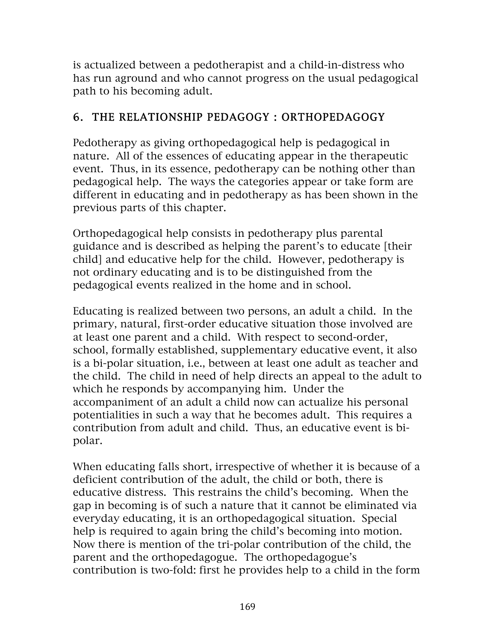is actualized between a pedotherapist and a child-in-distress who has run aground and who cannot progress on the usual pedagogical path to his becoming adult.

# 6. THE RELATIONSHIP PEDAGOGY : ORTHOPEDAGOGY

Pedotherapy as giving orthopedagogical help is pedagogical in nature. All of the essences of educating appear in the therapeutic event. Thus, in its essence, pedotherapy can be nothing other than pedagogical help. The ways the categories appear or take form are different in educating and in pedotherapy as has been shown in the previous parts of this chapter.

Orthopedagogical help consists in pedotherapy plus parental guidance and is described as helping the parent's to educate [their child] and educative help for the child. However, pedotherapy is not ordinary educating and is to be distinguished from the pedagogical events realized in the home and in school.

Educating is realized between two persons, an adult a child. In the primary, natural, first-order educative situation those involved are at least one parent and a child. With respect to second-order, school, formally established, supplementary educative event, it also is a bi-polar situation, i.e., between at least one adult as teacher and the child. The child in need of help directs an appeal to the adult to which he responds by accompanying him. Under the accompaniment of an adult a child now can actualize his personal potentialities in such a way that he becomes adult. This requires a contribution from adult and child. Thus, an educative event is bipolar.

When educating falls short, irrespective of whether it is because of a deficient contribution of the adult, the child or both, there is educative distress. This restrains the child's becoming. When the gap in becoming is of such a nature that it cannot be eliminated via everyday educating, it is an orthopedagogical situation. Special help is required to again bring the child's becoming into motion. Now there is mention of the tri-polar contribution of the child, the parent and the orthopedagogue. The orthopedagogue's contribution is two-fold: first he provides help to a child in the form